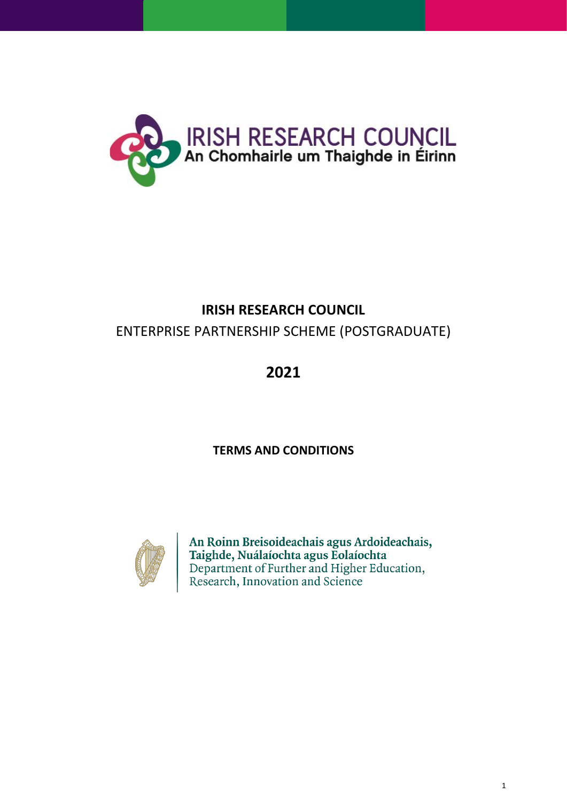

# **IRISH RESEARCH COUNCIL**

# ENTERPRISE PARTNERSHIP SCHEME (POSTGRADUATE)

# **2021**

# **TERMS AND CONDITIONS**



An Roinn Breisoideachais agus Ardoideachais, Taighde, Nuálaíochta agus Eolaíochta<br>Department of Further and Higher Education, Research, Innovation and Science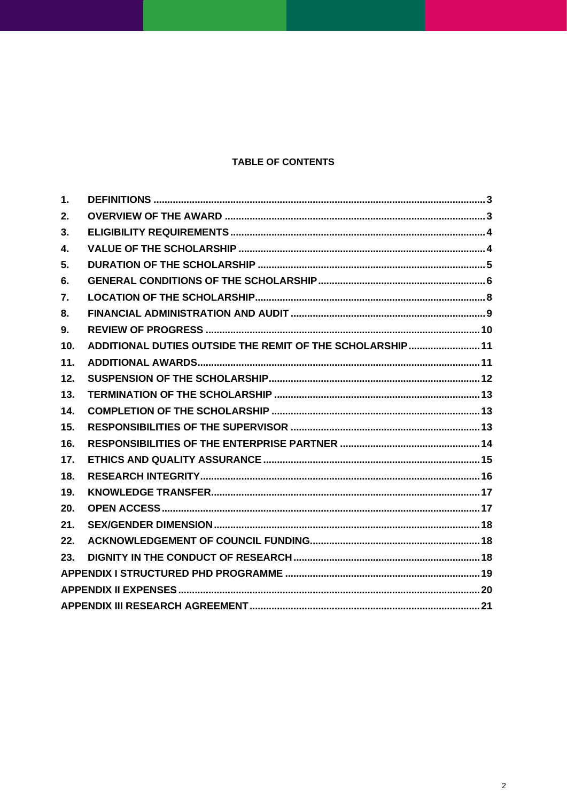## **TABLE OF CONTENTS**

| 1.  |                                                          |  |
|-----|----------------------------------------------------------|--|
| 2.  |                                                          |  |
| 3.  |                                                          |  |
| 4.  |                                                          |  |
| 5.  |                                                          |  |
| 6.  |                                                          |  |
| 7.  |                                                          |  |
| 8.  |                                                          |  |
| 9.  |                                                          |  |
| 10. | ADDITIONAL DUTIES OUTSIDE THE REMIT OF THE SCHOLARSHIP11 |  |
| 11. |                                                          |  |
| 12. |                                                          |  |
| 13. |                                                          |  |
| 14. |                                                          |  |
| 15. |                                                          |  |
| 16. |                                                          |  |
| 17. |                                                          |  |
| 18. |                                                          |  |
| 19. |                                                          |  |
| 20. |                                                          |  |
| 21. |                                                          |  |
| 22. |                                                          |  |
| 23. |                                                          |  |
|     |                                                          |  |
|     |                                                          |  |
|     |                                                          |  |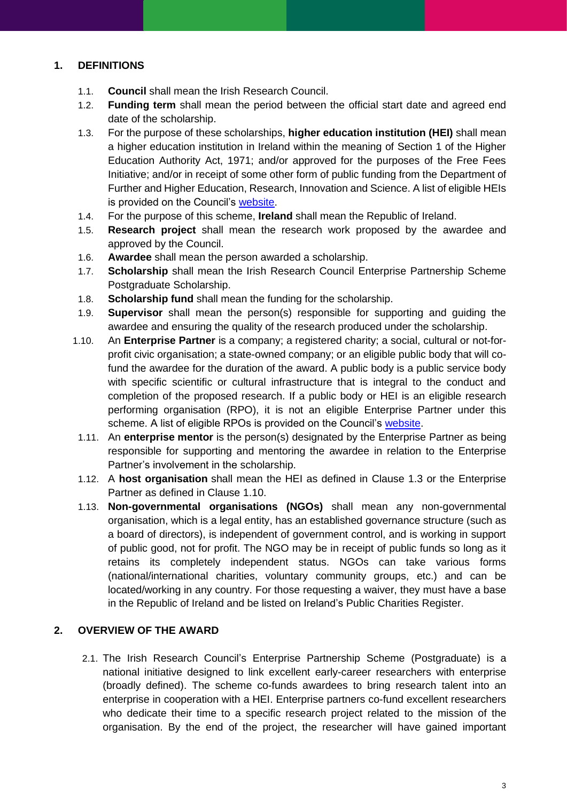## <span id="page-2-0"></span>**1. DEFINITIONS**

- 1.1. **Council** shall mean the Irish Research Council.
- 1.2. **Funding term** shall mean the period between the official start date and agreed end date of the scholarship.
- 1.3. For the purpose of these scholarships, **higher education institution (HEI)** shall mean a higher education institution in Ireland within the meaning of Section 1 of the Higher Education Authority Act, 1971; and/or approved for the purposes of the Free Fees Initiative; and/or in receipt of some other form of public funding from the Department of Further and Higher Education, Research, Innovation and Science. A list of eligible HEIs is provided on the Council's [website.](http://research.ie/funding/eligible-higher-education-institutions-and-research-performing-organisations/)
- 1.4. For the purpose of this scheme, **Ireland** shall mean the Republic of Ireland.
- 1.5. **Research project** shall mean the research work proposed by the awardee and approved by the Council.
- 1.6. **Awardee** shall mean the person awarded a scholarship.
- 1.7. **Scholarship** shall mean the Irish Research Council Enterprise Partnership Scheme Postgraduate Scholarship.
- 1.8. **Scholarship fund** shall mean the funding for the scholarship.
- 1.9. **Supervisor** shall mean the person(s) responsible for supporting and guiding the awardee and ensuring the quality of the research produced under the scholarship.
- 1.10. An **Enterprise Partner** is a company; a registered charity; a social, cultural or not-forprofit civic organisation; a state-owned company; or an eligible public body that will cofund the awardee for the duration of the award. A public body is a public service body with specific scientific or cultural infrastructure that is integral to the conduct and completion of the proposed research. If a public body or HEI is an eligible research performing organisation (RPO), it is not an eligible Enterprise Partner under this scheme. A list of eligible RPOs is provided on the Council's [website.](http://research.ie/funding/eligible-higher-education-institutions-and-research-performing-organisations/)
- 1.11. An **enterprise mentor** is the person(s) designated by the Enterprise Partner as being responsible for supporting and mentoring the awardee in relation to the Enterprise Partner's involvement in the scholarship.
- 1.12. A **host organisation** shall mean the HEI as defined in Clause 1.3 or the Enterprise Partner as defined in Clause 1.10.
- 1.13. **Non-governmental organisations (NGOs)** shall mean any non-governmental organisation, which is a legal entity, has an established governance structure (such as a board of directors), is independent of government control, and is working in support of public good, not for profit. The NGO may be in receipt of public funds so long as it retains its completely independent status. NGOs can take various forms (national/international charities, voluntary community groups, etc.) and can be located/working in any country. For those requesting a waiver, they must have a base in the Republic of Ireland and be listed on Ireland's Public Charities Register.

## <span id="page-2-1"></span>**2. OVERVIEW OF THE AWARD**

2.1. The Irish Research Council's Enterprise Partnership Scheme (Postgraduate) is a national initiative designed to link excellent early-career researchers with enterprise (broadly defined). The scheme co-funds awardees to bring research talent into an enterprise in cooperation with a HEI. Enterprise partners co-fund excellent researchers who dedicate their time to a specific research project related to the mission of the organisation. By the end of the project, the researcher will have gained important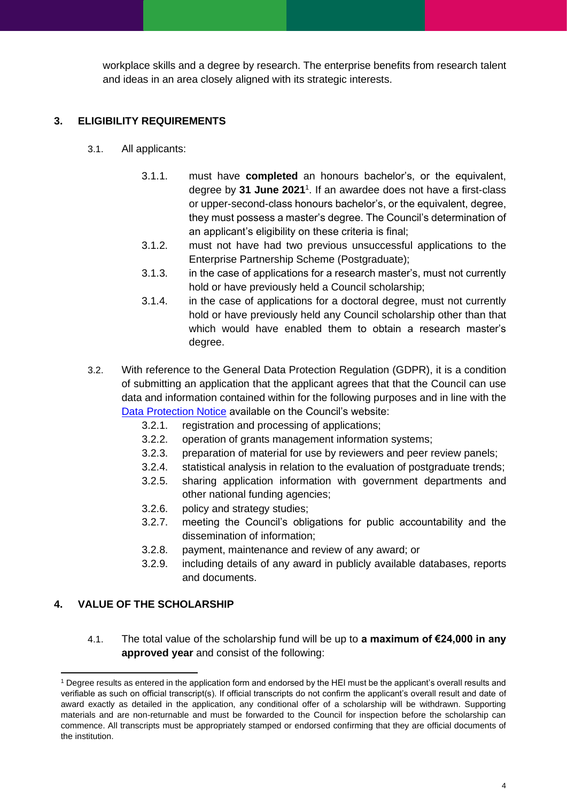workplace skills and a degree by research. The enterprise benefits from research talent and ideas in an area closely aligned with its strategic interests.

## <span id="page-3-0"></span>**3. ELIGIBILITY REQUIREMENTS**

- 3.1. All applicants:
	- 3.1.1. must have **completed** an honours bachelor's, or the equivalent, degree by **31 June 2021** 1 . If an awardee does not have a first-class or upper-second-class honours bachelor's, or the equivalent, degree, they must possess a master's degree. The Council's determination of an applicant's eligibility on these criteria is final;
	- 3.1.2. must not have had two previous unsuccessful applications to the Enterprise Partnership Scheme (Postgraduate);
	- 3.1.3. in the case of applications for a research master's, must not currently hold or have previously held a Council scholarship;
	- 3.1.4. in the case of applications for a doctoral degree, must not currently hold or have previously held any Council scholarship other than that which would have enabled them to obtain a research master's degree.
- 3.2. With reference to the General Data Protection Regulation (GDPR), it is a condition of submitting an application that the applicant agrees that that the Council can use data and information contained within for the following purposes and in line with the [Data Protection Notice](http://research.ie/privacy-and-data-protection/) available on the Council's website:
	- 3.2.1. registration and processing of applications;
	- 3.2.2. operation of grants management information systems;
	- 3.2.3. preparation of material for use by reviewers and peer review panels;
	- 3.2.4. statistical analysis in relation to the evaluation of postgraduate trends;
	- 3.2.5. sharing application information with government departments and other national funding agencies;
	- 3.2.6. policy and strategy studies;
	- 3.2.7. meeting the Council's obligations for public accountability and the dissemination of information;
	- 3.2.8. payment, maintenance and review of any award; or
	- 3.2.9. including details of any award in publicly available databases, reports and documents.

## <span id="page-3-1"></span>**4. VALUE OF THE SCHOLARSHIP**

4.1. The total value of the scholarship fund will be up to **a maximum of €24,000 in any approved year** and consist of the following:

<sup>&</sup>lt;sup>1</sup> Degree results as entered in the application form and endorsed by the HEI must be the applicant's overall results and verifiable as such on official transcript(s). If official transcripts do not confirm the applicant's overall result and date of award exactly as detailed in the application, any conditional offer of a scholarship will be withdrawn. Supporting materials and are non-returnable and must be forwarded to the Council for inspection before the scholarship can commence. All transcripts must be appropriately stamped or endorsed confirming that they are official documents of the institution.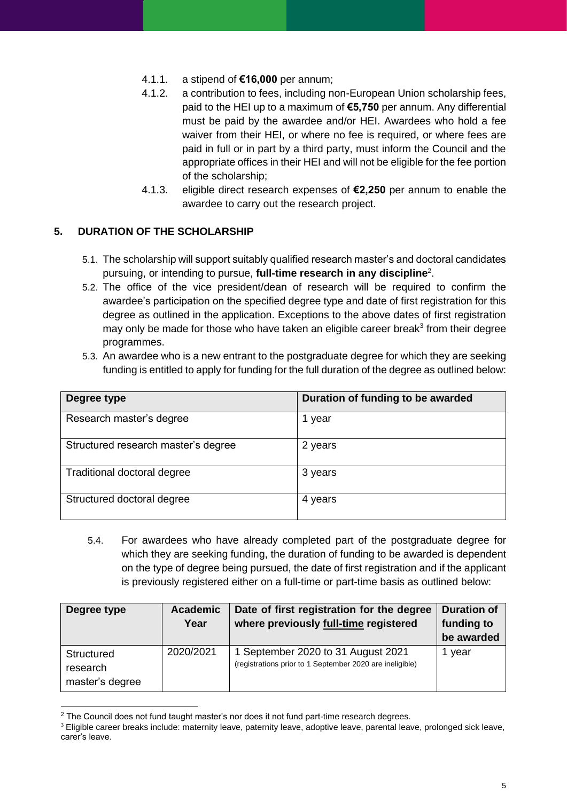- 4.1.1. a stipend of **€16,000** per annum;
- 4.1.2. a contribution to fees, including non-European Union scholarship fees, paid to the HEI up to a maximum of **€5,750** per annum. Any differential must be paid by the awardee and/or HEI. Awardees who hold a fee waiver from their HEI, or where no fee is required, or where fees are paid in full or in part by a third party, must inform the Council and the appropriate offices in their HEI and will not be eligible for the fee portion of the scholarship;
- 4.1.3. eligible direct research expenses of **€2,250** per annum to enable the awardee to carry out the research project.

## <span id="page-4-0"></span>**5. DURATION OF THE SCHOLARSHIP**

- 5.1. The scholarship will support suitably qualified research master's and doctoral candidates pursuing, or intending to pursue, **full-time research in any discipline**<sup>2</sup> .
- 5.2. The office of the vice president/dean of research will be required to confirm the awardee's participation on the specified degree type and date of first registration for this degree as outlined in the application. Exceptions to the above dates of first registration may only be made for those who have taken an eligible career break<sup>3</sup> from their degree programmes.
- 5.3. An awardee who is a new entrant to the postgraduate degree for which they are seeking funding is entitled to apply for funding for the full duration of the degree as outlined below:

| Degree type                         | Duration of funding to be awarded |
|-------------------------------------|-----------------------------------|
| Research master's degree            | year                              |
| Structured research master's degree | 2 years                           |
| Traditional doctoral degree         | 3 years                           |
| Structured doctoral degree          | 4 years                           |

5.4. For awardees who have already completed part of the postgraduate degree for which they are seeking funding, the duration of funding to be awarded is dependent on the type of degree being pursued, the date of first registration and if the applicant is previously registered either on a full-time or part-time basis as outlined below:

| Degree type                               | <b>Academic</b><br>Year | Date of first registration for the degree<br>where previously full-time registered             | <b>Duration of</b><br>funding to<br>be awarded |
|-------------------------------------------|-------------------------|------------------------------------------------------------------------------------------------|------------------------------------------------|
| Structured<br>research<br>master's degree | 2020/2021               | 1 September 2020 to 31 August 2021<br>(registrations prior to 1 September 2020 are ineligible) | 1 year                                         |

<sup>&</sup>lt;sup>2</sup> The Council does not fund taught master's nor does it not fund part-time research degrees.

<sup>&</sup>lt;sup>3</sup> Eligible career breaks include: maternity leave, paternity leave, adoptive leave, parental leave, prolonged sick leave, carer's leave.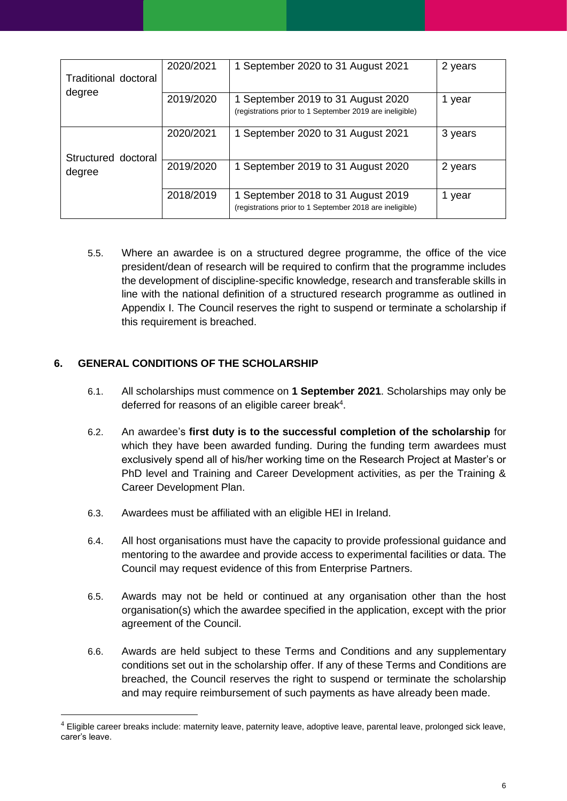| Traditional doctoral | 2020/2021 | 1 September 2020 to 31 August 2021                                                             | 2 years |
|----------------------|-----------|------------------------------------------------------------------------------------------------|---------|
| degree               | 2019/2020 | 1 September 2019 to 31 August 2020<br>(registrations prior to 1 September 2019 are ineligible) | 1 year  |
|                      | 2020/2021 | 1 September 2020 to 31 August 2021                                                             | 3 years |
| Structured doctoral  |           |                                                                                                |         |
| degree               | 2019/2020 | 1 September 2019 to 31 August 2020                                                             | 2 years |
|                      | 2018/2019 | 1 September 2018 to 31 August 2019<br>(registrations prior to 1 September 2018 are ineligible) | 1 year  |

5.5. Where an awardee is on a structured degree programme, the office of the vice president/dean of research will be required to confirm that the programme includes the development of discipline-specific knowledge, research and transferable skills in line with the national definition of a structured research programme as outlined in Appendix I. The Council reserves the right to suspend or terminate a scholarship if this requirement is breached.

## <span id="page-5-0"></span>**6. GENERAL CONDITIONS OF THE SCHOLARSHIP**

- 6.1. All scholarships must commence on **1 September 2021**. Scholarships may only be deferred for reasons of an eligible career break<sup>4</sup>.
- 6.2. An awardee's **first duty is to the successful completion of the scholarship** for which they have been awarded funding. During the funding term awardees must exclusively spend all of his/her working time on the Research Project at Master's or PhD level and Training and Career Development activities, as per the Training & Career Development Plan.
- 6.3. Awardees must be affiliated with an eligible HEI in Ireland.
- 6.4. All host organisations must have the capacity to provide professional guidance and mentoring to the awardee and provide access to experimental facilities or data. The Council may request evidence of this from Enterprise Partners.
- 6.5. Awards may not be held or continued at any organisation other than the host organisation(s) which the awardee specified in the application, except with the prior agreement of the Council.
- 6.6. Awards are held subject to these Terms and Conditions and any supplementary conditions set out in the scholarship offer. If any of these Terms and Conditions are breached, the Council reserves the right to suspend or terminate the scholarship and may require reimbursement of such payments as have already been made.

 $4$  Eligible career breaks include: maternity leave, paternity leave, adoptive leave, parental leave, prolonged sick leave, carer's leave.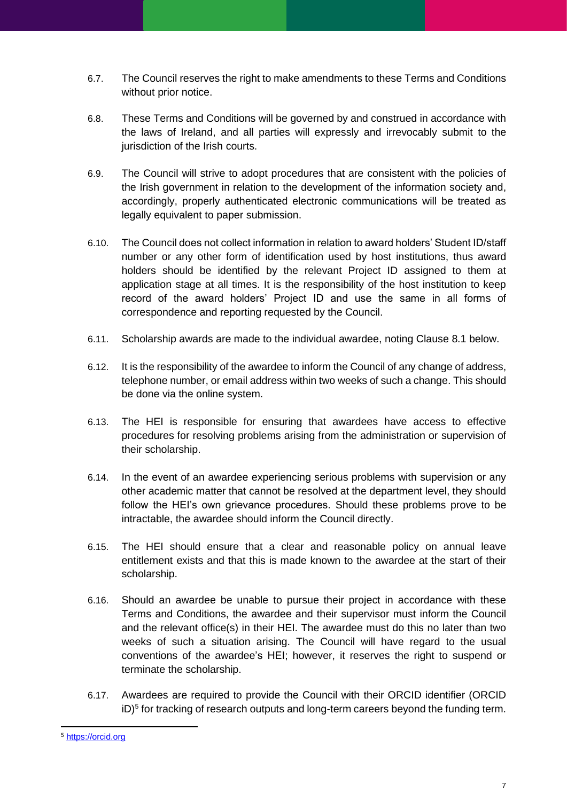- 6.7. The Council reserves the right to make amendments to these Terms and Conditions without prior notice.
- 6.8. These Terms and Conditions will be governed by and construed in accordance with the laws of Ireland, and all parties will expressly and irrevocably submit to the jurisdiction of the Irish courts.
- 6.9. The Council will strive to adopt procedures that are consistent with the policies of the Irish government in relation to the development of the information society and, accordingly, properly authenticated electronic communications will be treated as legally equivalent to paper submission.
- 6.10. The Council does not collect information in relation to award holders' Student ID/staff number or any other form of identification used by host institutions, thus award holders should be identified by the relevant Project ID assigned to them at application stage at all times. It is the responsibility of the host institution to keep record of the award holders' Project ID and use the same in all forms of correspondence and reporting requested by the Council.
- 6.11. Scholarship awards are made to the individual awardee, noting Clause 8.1 below.
- 6.12. It is the responsibility of the awardee to inform the Council of any change of address, telephone number, or email address within two weeks of such a change. This should be done via the online system.
- 6.13. The HEI is responsible for ensuring that awardees have access to effective procedures for resolving problems arising from the administration or supervision of their scholarship.
- 6.14. In the event of an awardee experiencing serious problems with supervision or any other academic matter that cannot be resolved at the department level, they should follow the HEI's own grievance procedures. Should these problems prove to be intractable, the awardee should inform the Council directly.
- 6.15. The HEI should ensure that a clear and reasonable policy on annual leave entitlement exists and that this is made known to the awardee at the start of their scholarship.
- 6.16. Should an awardee be unable to pursue their project in accordance with these Terms and Conditions, the awardee and their supervisor must inform the Council and the relevant office(s) in their HEI. The awardee must do this no later than two weeks of such a situation arising. The Council will have regard to the usual conventions of the awardee's HEI; however, it reserves the right to suspend or terminate the scholarship.
- 6.17. Awardees are required to provide the Council with their ORCID identifier (ORCID iD)<sup>5</sup> for tracking of research outputs and long-term careers beyond the funding term.

<sup>5</sup> [https://orcid.org](https://orcid.org/)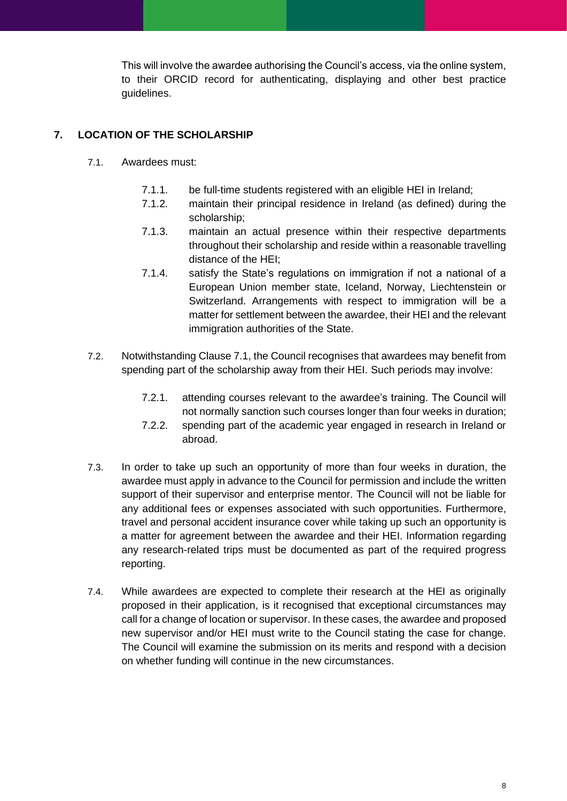This will involve the awardee authorising the Council's access, via the online system, to their ORCID record for authenticating, displaying and other best practice guidelines.

## <span id="page-7-0"></span>**7. LOCATION OF THE SCHOLARSHIP**

- 7.1. Awardees must:
	- 7.1.1. be full-time students registered with an eligible HEI in Ireland;
	- 7.1.2. maintain their principal residence in Ireland (as defined) during the scholarship;
	- 7.1.3. maintain an actual presence within their respective departments throughout their scholarship and reside within a reasonable travelling distance of the HEI;
	- 7.1.4. satisfy the State's regulations on immigration if not a national of a European Union member state, Iceland, Norway, Liechtenstein or Switzerland. Arrangements with respect to immigration will be a matter for settlement between the awardee, their HEI and the relevant immigration authorities of the State.
- 7.2. Notwithstanding Clause 7.1, the Council recognises that awardees may benefit from spending part of the scholarship away from their HEI. Such periods may involve:
	- 7.2.1. attending courses relevant to the awardee's training. The Council will not normally sanction such courses longer than four weeks in duration;
	- 7.2.2. spending part of the academic year engaged in research in Ireland or abroad.
- 7.3. In order to take up such an opportunity of more than four weeks in duration, the awardee must apply in advance to the Council for permission and include the written support of their supervisor and enterprise mentor. The Council will not be liable for any additional fees or expenses associated with such opportunities. Furthermore, travel and personal accident insurance cover while taking up such an opportunity is a matter for agreement between the awardee and their HEI. Information regarding any research-related trips must be documented as part of the required progress reporting.
- <span id="page-7-1"></span>7.4. While awardees are expected to complete their research at the HEI as originally proposed in their application, is it recognised that exceptional circumstances may call for a change of location or supervisor. In these cases, the awardee and proposed new supervisor and/or HEI must write to the Council stating the case for change. The Council will examine the submission on its merits and respond with a decision on whether funding will continue in the new circumstances.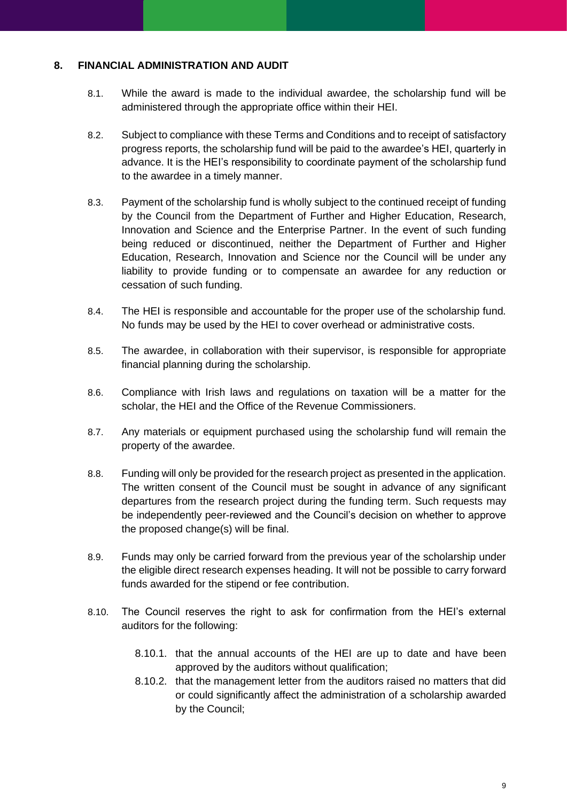## **8. FINANCIAL ADMINISTRATION AND AUDIT**

- 8.1. While the award is made to the individual awardee, the scholarship fund will be administered through the appropriate office within their HEI.
- 8.2. Subject to compliance with these Terms and Conditions and to receipt of satisfactory progress reports, the scholarship fund will be paid to the awardee's HEI, quarterly in advance. It is the HEI's responsibility to coordinate payment of the scholarship fund to the awardee in a timely manner.
- 8.3. Payment of the scholarship fund is wholly subject to the continued receipt of funding by the Council from the Department of Further and Higher Education, Research, Innovation and Science and the Enterprise Partner. In the event of such funding being reduced or discontinued, neither the Department of Further and Higher Education, Research, Innovation and Science nor the Council will be under any liability to provide funding or to compensate an awardee for any reduction or cessation of such funding.
- 8.4. The HEI is responsible and accountable for the proper use of the scholarship fund. No funds may be used by the HEI to cover overhead or administrative costs.
- 8.5. The awardee, in collaboration with their supervisor, is responsible for appropriate financial planning during the scholarship.
- 8.6. Compliance with Irish laws and regulations on taxation will be a matter for the scholar, the HEI and the Office of the Revenue Commissioners.
- 8.7. Any materials or equipment purchased using the scholarship fund will remain the property of the awardee.
- 8.8. Funding will only be provided for the research project as presented in the application. The written consent of the Council must be sought in advance of any significant departures from the research project during the funding term. Such requests may be independently peer-reviewed and the Council's decision on whether to approve the proposed change(s) will be final.
- 8.9. Funds may only be carried forward from the previous year of the scholarship under the eligible direct research expenses heading. It will not be possible to carry forward funds awarded for the stipend or fee contribution.
- 8.10. The Council reserves the right to ask for confirmation from the HEI's external auditors for the following:
	- 8.10.1. that the annual accounts of the HEI are up to date and have been approved by the auditors without qualification;
	- 8.10.2. that the management letter from the auditors raised no matters that did or could significantly affect the administration of a scholarship awarded by the Council;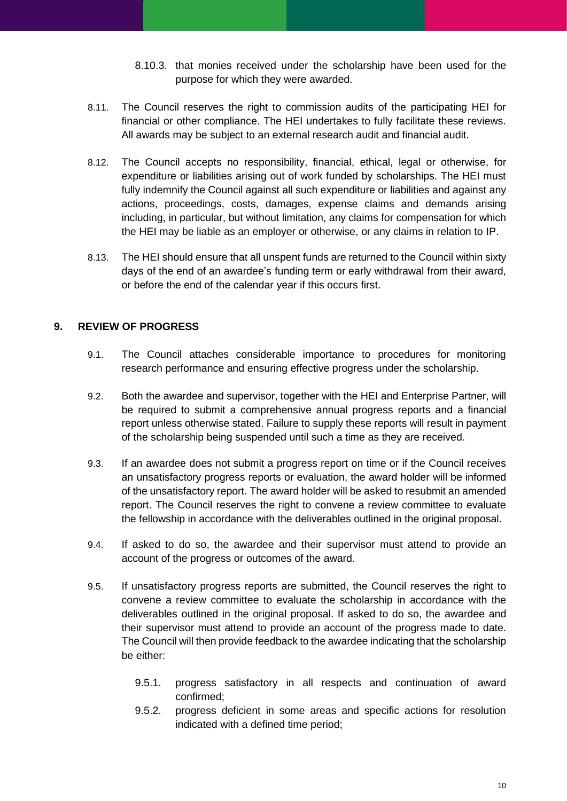- 8.10.3. that monies received under the scholarship have been used for the purpose for which they were awarded.
- 8.11. The Council reserves the right to commission audits of the participating HEI for financial or other compliance. The HEI undertakes to fully facilitate these reviews. All awards may be subject to an external research audit and financial audit.
- 8.12. The Council accepts no responsibility, financial, ethical, legal or otherwise, for expenditure or liabilities arising out of work funded by scholarships. The HEI must fully indemnify the Council against all such expenditure or liabilities and against any actions, proceedings, costs, damages, expense claims and demands arising including, in particular, but without limitation, any claims for compensation for which the HEI may be liable as an employer or otherwise, or any claims in relation to IP.
- 8.13. The HEI should ensure that all unspent funds are returned to the Council within sixty days of the end of an awardee's funding term or early withdrawal from their award, or before the end of the calendar year if this occurs first.

## <span id="page-9-0"></span>**9. REVIEW OF PROGRESS**

- 9.1. The Council attaches considerable importance to procedures for monitoring research performance and ensuring effective progress under the scholarship.
- 9.2. Both the awardee and supervisor, together with the HEI and Enterprise Partner, will be required to submit a comprehensive annual progress reports and a financial report unless otherwise stated. Failure to supply these reports will result in payment of the scholarship being suspended until such a time as they are received.
- 9.3. If an awardee does not submit a progress report on time or if the Council receives an unsatisfactory progress reports or evaluation, the award holder will be informed of the unsatisfactory report. The award holder will be asked to resubmit an amended report. The Council reserves the right to convene a review committee to evaluate the fellowship in accordance with the deliverables outlined in the original proposal.
- 9.4. If asked to do so, the awardee and their supervisor must attend to provide an account of the progress or outcomes of the award.
- 9.5. If unsatisfactory progress reports are submitted, the Council reserves the right to convene a review committee to evaluate the scholarship in accordance with the deliverables outlined in the original proposal. If asked to do so, the awardee and their supervisor must attend to provide an account of the progress made to date. The Council will then provide feedback to the awardee indicating that the scholarship be either:
	- 9.5.1. progress satisfactory in all respects and continuation of award confirmed;
	- 9.5.2. progress deficient in some areas and specific actions for resolution indicated with a defined time period;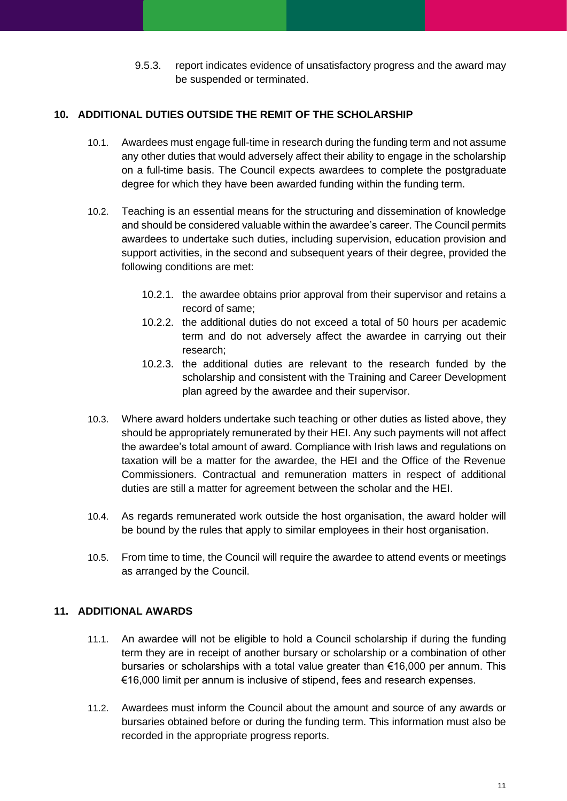9.5.3. report indicates evidence of unsatisfactory progress and the award may be suspended or terminated.

## <span id="page-10-0"></span>**10. ADDITIONAL DUTIES OUTSIDE THE REMIT OF THE SCHOLARSHIP**

- 10.1. Awardees must engage full-time in research during the funding term and not assume any other duties that would adversely affect their ability to engage in the scholarship on a full-time basis. The Council expects awardees to complete the postgraduate degree for which they have been awarded funding within the funding term.
- 10.2. Teaching is an essential means for the structuring and dissemination of knowledge and should be considered valuable within the awardee's career. The Council permits awardees to undertake such duties, including supervision, education provision and support activities, in the second and subsequent years of their degree, provided the following conditions are met:
	- 10.2.1. the awardee obtains prior approval from their supervisor and retains a record of same;
	- 10.2.2. the additional duties do not exceed a total of 50 hours per academic term and do not adversely affect the awardee in carrying out their research;
	- 10.2.3. the additional duties are relevant to the research funded by the scholarship and consistent with the Training and Career Development plan agreed by the awardee and their supervisor.
- 10.3. Where award holders undertake such teaching or other duties as listed above, they should be appropriately remunerated by their HEI. Any such payments will not affect the awardee's total amount of award. Compliance with Irish laws and regulations on taxation will be a matter for the awardee, the HEI and the Office of the Revenue Commissioners. Contractual and remuneration matters in respect of additional duties are still a matter for agreement between the scholar and the HEI.
- 10.4. As regards remunerated work outside the host organisation, the award holder will be bound by the rules that apply to similar employees in their host organisation.
- 10.5. From time to time, the Council will require the awardee to attend events or meetings as arranged by the Council.

## <span id="page-10-1"></span>**11. ADDITIONAL AWARDS**

- 11.1. An awardee will not be eligible to hold a Council scholarship if during the funding term they are in receipt of another bursary or scholarship or a combination of other bursaries or scholarships with a total value greater than €16,000 per annum. This €16,000 limit per annum is inclusive of stipend, fees and research expenses.
- 11.2. Awardees must inform the Council about the amount and source of any awards or bursaries obtained before or during the funding term. This information must also be recorded in the appropriate progress reports.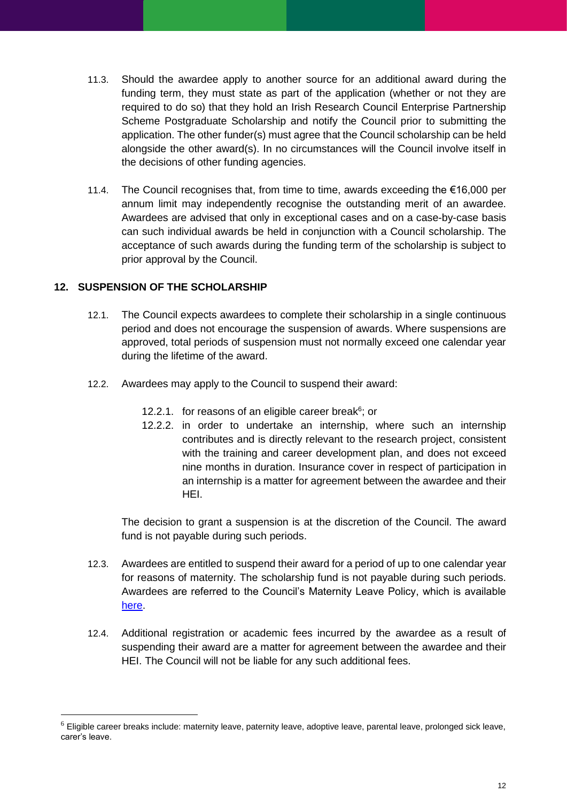- 11.3. Should the awardee apply to another source for an additional award during the funding term, they must state as part of the application (whether or not they are required to do so) that they hold an Irish Research Council Enterprise Partnership Scheme Postgraduate Scholarship and notify the Council prior to submitting the application. The other funder(s) must agree that the Council scholarship can be held alongside the other award(s). In no circumstances will the Council involve itself in the decisions of other funding agencies.
- 11.4. The Council recognises that, from time to time, awards exceeding the €16,000 per annum limit may independently recognise the outstanding merit of an awardee. Awardees are advised that only in exceptional cases and on a case-by-case basis can such individual awards be held in conjunction with a Council scholarship. The acceptance of such awards during the funding term of the scholarship is subject to prior approval by the Council.

## <span id="page-11-0"></span>**12. SUSPENSION OF THE SCHOLARSHIP**

- 12.1. The Council expects awardees to complete their scholarship in a single continuous period and does not encourage the suspension of awards. Where suspensions are approved, total periods of suspension must not normally exceed one calendar year during the lifetime of the award.
- 12.2. Awardees may apply to the Council to suspend their award:
	- 12.2.1. for reasons of an eligible career break $6$ ; or
	- 12.2.2. in order to undertake an internship, where such an internship contributes and is directly relevant to the research project, consistent with the training and career development plan, and does not exceed nine months in duration. Insurance cover in respect of participation in an internship is a matter for agreement between the awardee and their HEI.

The decision to grant a suspension is at the discretion of the Council. The award fund is not payable during such periods.

- 12.3. Awardees are entitled to suspend their award for a period of up to one calendar year for reasons of maternity. The scholarship fund is not payable during such periods. Awardees are referred to the Council's Maternity Leave Policy, which is available [here.](http://research.ie/assets/uploads/2017/05/irish_research_council_maternity_leave_policy_final_2016.pdf)
- 12.4. Additional registration or academic fees incurred by the awardee as a result of suspending their award are a matter for agreement between the awardee and their HEI. The Council will not be liable for any such additional fees.

 $6$  Eligible career breaks include: maternity leave, paternity leave, adoptive leave, parental leave, prolonged sick leave, carer's leave.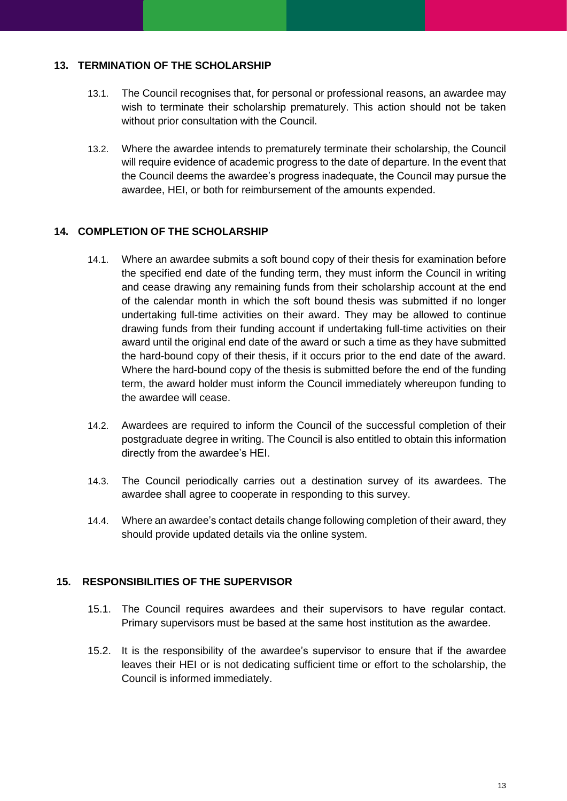## <span id="page-12-0"></span>**13. TERMINATION OF THE SCHOLARSHIP**

- 13.1. The Council recognises that, for personal or professional reasons, an awardee may wish to terminate their scholarship prematurely. This action should not be taken without prior consultation with the Council.
- 13.2. Where the awardee intends to prematurely terminate their scholarship, the Council will require evidence of academic progress to the date of departure. In the event that the Council deems the awardee's progress inadequate, the Council may pursue the awardee, HEI, or both for reimbursement of the amounts expended.

## <span id="page-12-1"></span>**14. COMPLETION OF THE SCHOLARSHIP**

- 14.1. Where an awardee submits a soft bound copy of their thesis for examination before the specified end date of the funding term, they must inform the Council in writing and cease drawing any remaining funds from their scholarship account at the end of the calendar month in which the soft bound thesis was submitted if no longer undertaking full-time activities on their award. They may be allowed to continue drawing funds from their funding account if undertaking full-time activities on their award until the original end date of the award or such a time as they have submitted the hard-bound copy of their thesis, if it occurs prior to the end date of the award. Where the hard-bound copy of the thesis is submitted before the end of the funding term, the award holder must inform the Council immediately whereupon funding to the awardee will cease.
- 14.2. Awardees are required to inform the Council of the successful completion of their postgraduate degree in writing. The Council is also entitled to obtain this information directly from the awardee's HEI.
- 14.3. The Council periodically carries out a destination survey of its awardees. The awardee shall agree to cooperate in responding to this survey.
- 14.4. Where an awardee's contact details change following completion of their award, they should provide updated details via the online system.

## <span id="page-12-2"></span>**15. RESPONSIBILITIES OF THE SUPERVISOR**

- 15.1. The Council requires awardees and their supervisors to have regular contact. Primary supervisors must be based at the same host institution as the awardee.
- <span id="page-12-3"></span>15.2. It is the responsibility of the awardee's supervisor to ensure that if the awardee leaves their HEI or is not dedicating sufficient time or effort to the scholarship, the Council is informed immediately.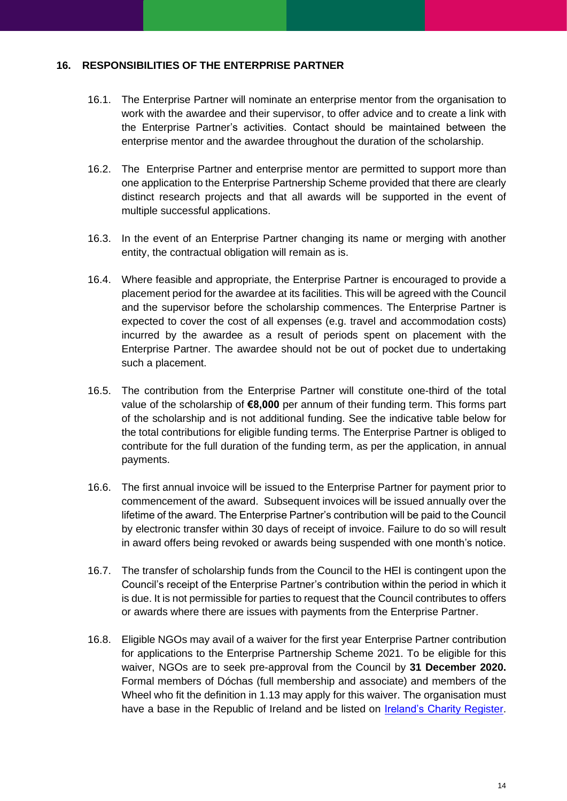### **16. RESPONSIBILITIES OF THE ENTERPRISE PARTNER**

- 16.1. The Enterprise Partner will nominate an enterprise mentor from the organisation to work with the awardee and their supervisor, to offer advice and to create a link with the Enterprise Partner's activities. Contact should be maintained between the enterprise mentor and the awardee throughout the duration of the scholarship.
- 16.2. The Enterprise Partner and enterprise mentor are permitted to support more than one application to the Enterprise Partnership Scheme provided that there are clearly distinct research projects and that all awards will be supported in the event of multiple successful applications.
- 16.3. In the event of an Enterprise Partner changing its name or merging with another entity, the contractual obligation will remain as is.
- 16.4. Where feasible and appropriate, the Enterprise Partner is encouraged to provide a placement period for the awardee at its facilities. This will be agreed with the Council and the supervisor before the scholarship commences. The Enterprise Partner is expected to cover the cost of all expenses (e.g. travel and accommodation costs) incurred by the awardee as a result of periods spent on placement with the Enterprise Partner. The awardee should not be out of pocket due to undertaking such a placement.
- 16.5. The contribution from the Enterprise Partner will constitute one-third of the total value of the scholarship of **€8,000** per annum of their funding term. This forms part of the scholarship and is not additional funding. See the indicative table below for the total contributions for eligible funding terms. The Enterprise Partner is obliged to contribute for the full duration of the funding term, as per the application, in annual payments.
- 16.6. The first annual invoice will be issued to the Enterprise Partner for payment prior to commencement of the award. Subsequent invoices will be issued annually over the lifetime of the award. The Enterprise Partner's contribution will be paid to the Council by electronic transfer within 30 days of receipt of invoice. Failure to do so will result in award offers being revoked or awards being suspended with one month's notice.
- 16.7. The transfer of scholarship funds from the Council to the HEI is contingent upon the Council's receipt of the Enterprise Partner's contribution within the period in which it is due. It is not permissible for parties to request that the Council contributes to offers or awards where there are issues with payments from the Enterprise Partner.
- 16.8. Eligible NGOs may avail of a waiver for the first year Enterprise Partner contribution for applications to the Enterprise Partnership Scheme 2021. To be eligible for this waiver, NGOs are to seek pre-approval from the Council by **31 December 2020.** Formal members of Dóchas (full membership and associate) and members of the Wheel who fit the definition in 1.13 may apply for this waiver. The organisation must have a base in the Republic of Ireland and be listed on [Ireland's Charity Register.](https://www.charitiesregulator.ie/en)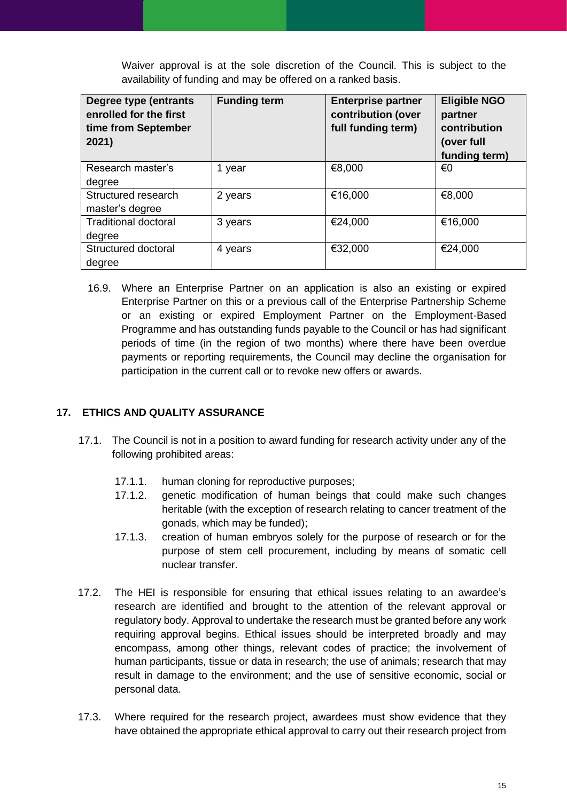Waiver approval is at the sole discretion of the Council. This is subject to the availability of funding and may be offered on a ranked basis.

| <b>Degree type (entrants</b><br>enrolled for the first<br>time from September<br>2021) | <b>Funding term</b> | <b>Enterprise partner</b><br>contribution (over<br>full funding term) | <b>Eligible NGO</b><br>partner<br>contribution<br>(over full<br>funding term) |
|----------------------------------------------------------------------------------------|---------------------|-----------------------------------------------------------------------|-------------------------------------------------------------------------------|
| Research master's                                                                      | 1 year              | €8,000                                                                | €0                                                                            |
| degree                                                                                 |                     |                                                                       |                                                                               |
| Structured research                                                                    | 2 years             | €16,000                                                               | €8,000                                                                        |
| master's degree                                                                        |                     |                                                                       |                                                                               |
| <b>Traditional doctoral</b>                                                            | 3 years             | €24,000                                                               | €16,000                                                                       |
| degree                                                                                 |                     |                                                                       |                                                                               |
| Structured doctoral                                                                    | 4 years             | €32,000                                                               | €24,000                                                                       |
| degree                                                                                 |                     |                                                                       |                                                                               |

16.9. Where an Enterprise Partner on an application is also an existing or expired Enterprise Partner on this or a previous call of the Enterprise Partnership Scheme or an existing or expired Employment Partner on the Employment-Based Programme and has outstanding funds payable to the Council or has had significant periods of time (in the region of two months) where there have been overdue payments or reporting requirements, the Council may decline the organisation for participation in the current call or to revoke new offers or awards.

## <span id="page-14-0"></span>**17. ETHICS AND QUALITY ASSURANCE**

- 17.1. The Council is not in a position to award funding for research activity under any of the following prohibited areas:
	- 17.1.1. human cloning for reproductive purposes;
	- 17.1.2. genetic modification of human beings that could make such changes heritable (with the exception of research relating to cancer treatment of the gonads, which may be funded);
	- 17.1.3. creation of human embryos solely for the purpose of research or for the purpose of stem cell procurement, including by means of somatic cell nuclear transfer.
- 17.2. The HEI is responsible for ensuring that ethical issues relating to an awardee's research are identified and brought to the attention of the relevant approval or regulatory body. Approval to undertake the research must be granted before any work requiring approval begins. Ethical issues should be interpreted broadly and may encompass, among other things, relevant codes of practice; the involvement of human participants, tissue or data in research; the use of animals; research that may result in damage to the environment; and the use of sensitive economic, social or personal data.
- 17.3. Where required for the research project, awardees must show evidence that they have obtained the appropriate ethical approval to carry out their research project from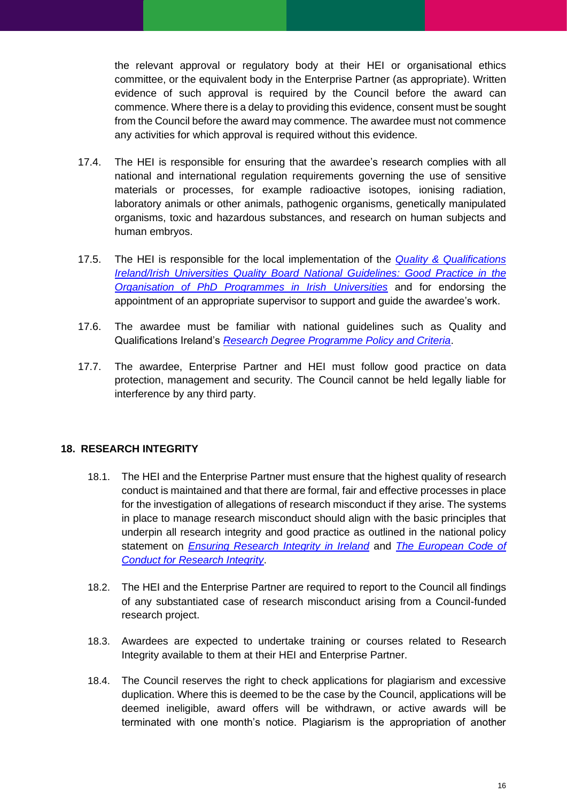the relevant approval or regulatory body at their HEI or organisational ethics committee, or the equivalent body in the Enterprise Partner (as appropriate). Written evidence of such approval is required by the Council before the award can commence. Where there is a delay to providing this evidence, consent must be sought from the Council before the award may commence. The awardee must not commence any activities for which approval is required without this evidence.

- 17.4. The HEI is responsible for ensuring that the awardee's research complies with all national and international regulation requirements governing the use of sensitive materials or processes, for example radioactive isotopes, ionising radiation, laboratory animals or other animals, pathogenic organisms, genetically manipulated organisms, toxic and hazardous substances, and research on human subjects and human embryos.
- 17.5. The HEI is responsible for the local implementation of the *[Quality & Qualifications](https://www.qqi.ie/Publications/Publications/Ireland%E2%80%99s%20Framework%20of%20Good%20Practice%20Research%20Degree%20Programmes.pdf#search=Good%20Practice%20in%20the%20Organisation%20of%20PhD%20Programmes%20in%20Irish%20Universities%2A)  [Ireland/Irish Universities Quality Board National Guidelines:](https://www.qqi.ie/Publications/Publications/Ireland%E2%80%99s%20Framework%20of%20Good%20Practice%20Research%20Degree%20Programmes.pdf#search=Good%20Practice%20in%20the%20Organisation%20of%20PhD%20Programmes%20in%20Irish%20Universities%2A) Good Practice in the [Organisation of PhD Programmes in Irish Universities](https://www.qqi.ie/Publications/Publications/Ireland%E2%80%99s%20Framework%20of%20Good%20Practice%20Research%20Degree%20Programmes.pdf#search=Good%20Practice%20in%20the%20Organisation%20of%20PhD%20Programmes%20in%20Irish%20Universities%2A)* and for endorsing the appointment of an appropriate supervisor to support and guide the awardee's work.
- 17.6. The awardee must be familiar with national guidelines such as Quality and Qualifications Ireland's *[Research Degree Programme Policy and Criteria](https://www.qqi.ie/Publications/Publications/Research_Degree_Programme_Policy_and_Criteria.pdf)*.
- 17.7. The awardee, Enterprise Partner and HEI must follow good practice on data protection, management and security. The Council cannot be held legally liable for interference by any third party.

## <span id="page-15-0"></span>**18. RESEARCH INTEGRITY**

- 18.1. The HEI and the Enterprise Partner must ensure that the highest quality of research conduct is maintained and that there are formal, fair and effective processes in place for the investigation of allegations of research misconduct if they arise. The systems in place to manage research misconduct should align with the basic principles that underpin all research integrity and good practice as outlined in the national policy statement on *[Ensuring Research Integrity in Ireland](http://www.iua.ie/publication/view/national-policy-statement-on-ensuring-research-integrity-in-ireland/)* and *[The European Code of](http://www.allea.org/wp-content/uploads/2017/03/ALLEA-European-Code-of-Conduct-for-Research-Integrity-2017-1.pdf)  [Conduct for Research Integrity](http://www.allea.org/wp-content/uploads/2017/03/ALLEA-European-Code-of-Conduct-for-Research-Integrity-2017-1.pdf)*.
- 18.2. The HEI and the Enterprise Partner are required to report to the Council all findings of any substantiated case of research misconduct arising from a Council-funded research project.
- 18.3. Awardees are expected to undertake training or courses related to Research Integrity available to them at their HEI and Enterprise Partner.
- 18.4. The Council reserves the right to check applications for plagiarism and excessive duplication. Where this is deemed to be the case by the Council, applications will be deemed ineligible, award offers will be withdrawn, or active awards will be terminated with one month's notice. Plagiarism is the appropriation of another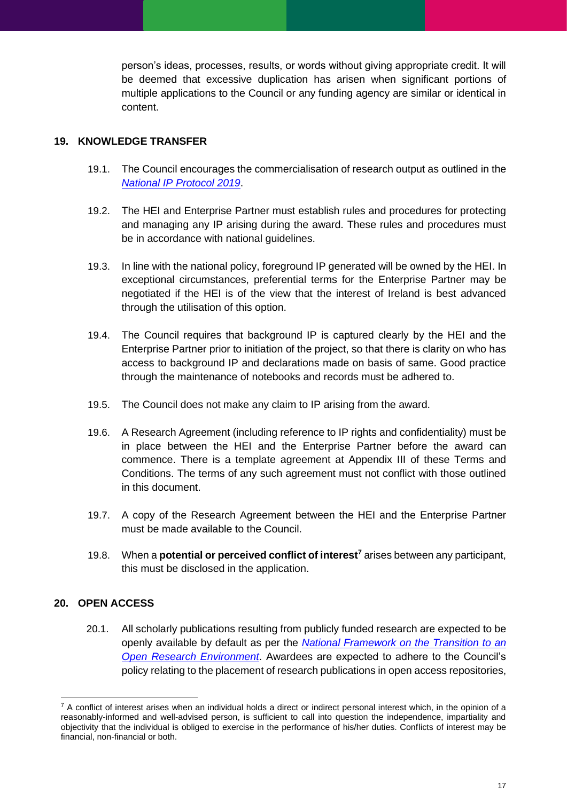person's ideas, processes, results, or words without giving appropriate credit. It will be deemed that excessive duplication has arisen when significant portions of multiple applications to the Council or any funding agency are similar or identical in content.

## <span id="page-16-0"></span>**19. KNOWLEDGE TRANSFER**

- 19.1. The Council encourages the commercialisation of research output as outlined in the *[National IP Protocol 2019](https://www.knowledgetransferireland.com/Reports-Publications/Ireland-s-National-IP-Protocol-2019-.pdf)*.
- 19.2. The HEI and Enterprise Partner must establish rules and procedures for protecting and managing any IP arising during the award. These rules and procedures must be in accordance with national guidelines.
- 19.3. In line with the national policy, foreground IP generated will be owned by the HEI. In exceptional circumstances, preferential terms for the Enterprise Partner may be negotiated if the HEI is of the view that the interest of Ireland is best advanced through the utilisation of this option.
- 19.4. The Council requires that background IP is captured clearly by the HEI and the Enterprise Partner prior to initiation of the project, so that there is clarity on who has access to background IP and declarations made on basis of same. Good practice through the maintenance of notebooks and records must be adhered to.
- 19.5. The Council does not make any claim to IP arising from the award.
- 19.6. A Research Agreement (including reference to IP rights and confidentiality) must be in place between the HEI and the Enterprise Partner before the award can commence. There is a template agreement at Appendix III of these Terms and Conditions. The terms of any such agreement must not conflict with those outlined in this document.
- 19.7. A copy of the Research Agreement between the HEI and the Enterprise Partner must be made available to the Council.
- 19.8. When a **potential or perceived conflict of interest<sup>7</sup>** arises between any participant, this must be disclosed in the application.

## <span id="page-16-1"></span>**20. OPEN ACCESS**

20.1. All scholarly publications resulting from publicly funded research are expected to be openly available by default as per the *[National Framework on the Transition to an](http://norf-ireland.net/wp-content/uploads/2019/07/NORF_Framework_10_July_2019-2.pdf)  [Open Research Environment](http://norf-ireland.net/wp-content/uploads/2019/07/NORF_Framework_10_July_2019-2.pdf)*. Awardees are expected to adhere to the Council's policy relating to the placement of research publications in open access repositories,

 $7$  A conflict of interest arises when an individual holds a direct or indirect personal interest which, in the opinion of a reasonably-informed and well-advised person, is sufficient to call into question the independence, impartiality and objectivity that the individual is obliged to exercise in the performance of his/her duties. Conflicts of interest may be financial, non-financial or both.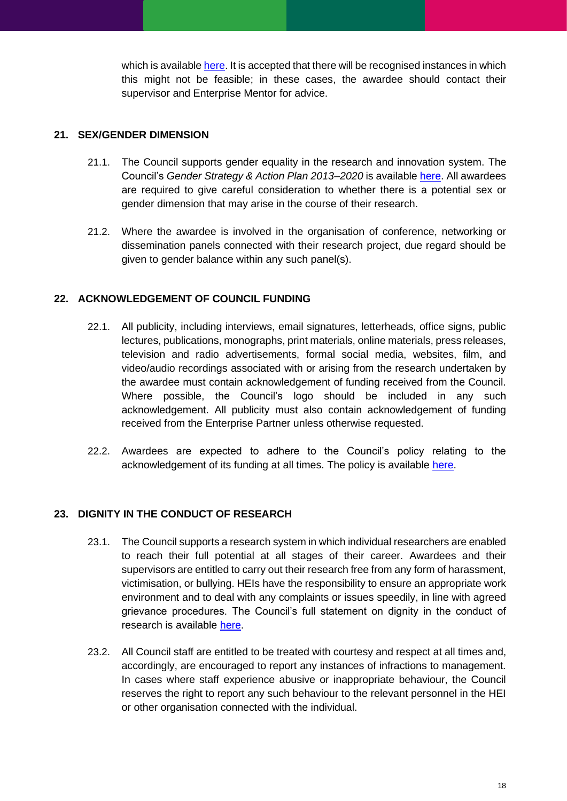which is available [here.](http://research.ie/assets/uploads/2017/05/IRC_Open_Access_Policy_Final.pdf) It is accepted that there will be recognised instances in which this might not be feasible; in these cases, the awardee should contact their supervisor and Enterprise Mentor for advice.

## <span id="page-17-0"></span>**21. SEX/GENDER DIMENSION**

- 21.1. The Council supports gender equality in the research and innovation system. The Council's *Gender Strategy & Action Plan 2013–2020* is available [here.](http://research.ie/assets/uploads/2013/01/irish_research_council_gender_action_plan_2013_-2020.pdf) All awardees are required to give careful consideration to whether there is a potential sex or gender dimension that may arise in the course of their research.
- 21.2. Where the awardee is involved in the organisation of conference, networking or dissemination panels connected with their research project, due regard should be given to gender balance within any such panel(s).

## <span id="page-17-1"></span>**22. ACKNOWLEDGEMENT OF COUNCIL FUNDING**

- 22.1. All publicity, including interviews, email signatures, letterheads, office signs, public lectures, publications, monographs, print materials, online materials, press releases, television and radio advertisements, formal social media, websites, film, and video/audio recordings associated with or arising from the research undertaken by the awardee must contain acknowledgement of funding received from the Council. Where possible, the Council's logo should be included in any such acknowledgement. All publicity must also contain acknowledgement of funding received from the Enterprise Partner unless otherwise requested.
- 22.2. Awardees are expected to adhere to the Council's policy relating to the acknowledgement of its funding at all times. The policy is available [here.](http://research.ie/assets/uploads/2017/05/Requirements-for-acknowledgement-of-Irish-Research-Council-support-UPDATE.pdf)

## <span id="page-17-2"></span>**23. DIGNITY IN THE CONDUCT OF RESEARCH**

- 23.1. The Council supports a research system in which individual researchers are enabled to reach their full potential at all stages of their career. Awardees and their supervisors are entitled to carry out their research free from any form of harassment, victimisation, or bullying. HEIs have the responsibility to ensure an appropriate work environment and to deal with any complaints or issues speedily, in line with agreed grievance procedures. The Council's full statement on dignity in the conduct of research is available [here.](http://research.ie/assets/uploads/2017/05/statement_on_dignity_at_work_0.pdf)
- 23.2. All Council staff are entitled to be treated with courtesy and respect at all times and, accordingly, are encouraged to report any instances of infractions to management. In cases where staff experience abusive or inappropriate behaviour, the Council reserves the right to report any such behaviour to the relevant personnel in the HEI or other organisation connected with the individual.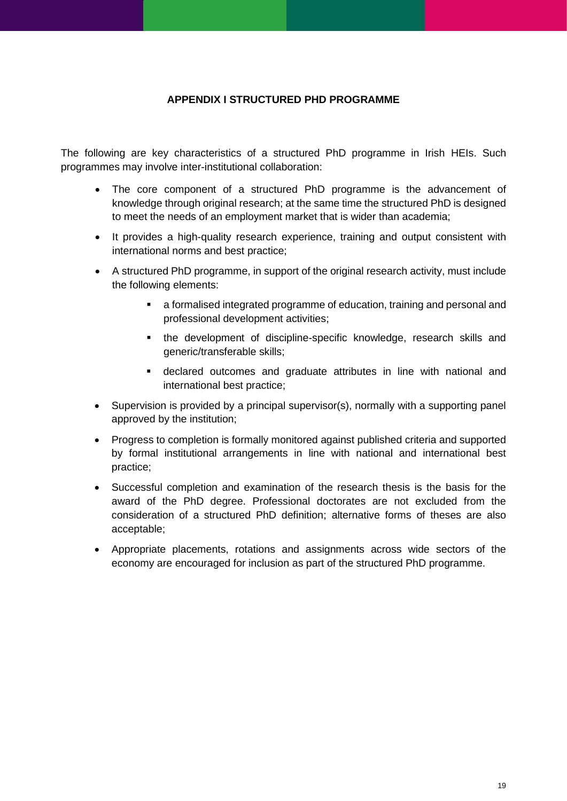## **APPENDIX I STRUCTURED PHD PROGRAMME**

<span id="page-18-0"></span>The following are key characteristics of a structured PhD programme in Irish HEIs. Such programmes may involve inter-institutional collaboration:

- The core component of a structured PhD programme is the advancement of knowledge through original research; at the same time the structured PhD is designed to meet the needs of an employment market that is wider than academia;
- It provides a high-quality research experience, training and output consistent with international norms and best practice;
- A structured PhD programme, in support of the original research activity, must include the following elements:
	- a formalised integrated programme of education, training and personal and professional development activities;
	- the development of discipline-specific knowledge, research skills and generic/transferable skills;
	- declared outcomes and graduate attributes in line with national and international best practice;
- Supervision is provided by a principal supervisor(s), normally with a supporting panel approved by the institution;
- Progress to completion is formally monitored against published criteria and supported by formal institutional arrangements in line with national and international best practice;
- Successful completion and examination of the research thesis is the basis for the award of the PhD degree. Professional doctorates are not excluded from the consideration of a structured PhD definition; alternative forms of theses are also acceptable;
- Appropriate placements, rotations and assignments across wide sectors of the economy are encouraged for inclusion as part of the structured PhD programme.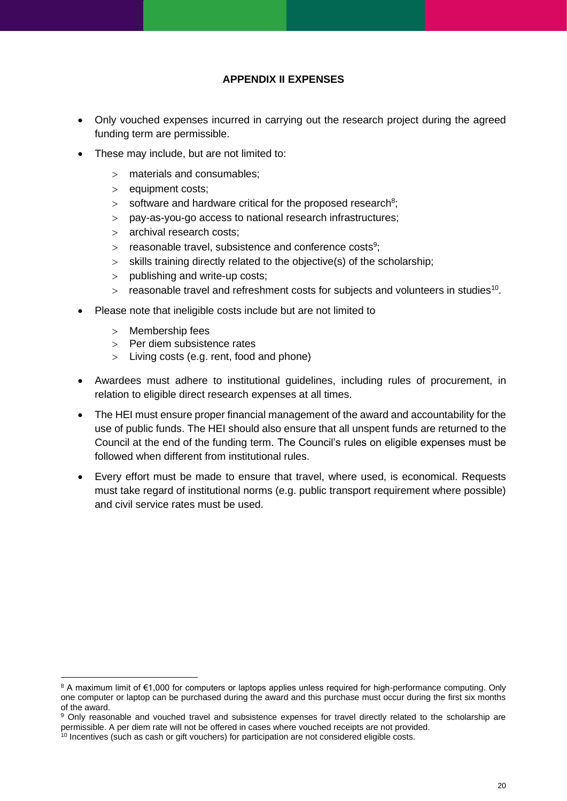## **APPENDIX II EXPENSES**

- <span id="page-19-0"></span>• Only vouched expenses incurred in carrying out the research project during the agreed funding term are permissible.
- These may include, but are not limited to:
	- materials and consumables;
	- $>$  equipment costs;
	- $>$  software and hardware critical for the proposed research<sup>8</sup>;
	- pay-as-you-go access to national research infrastructures;
	- archival research costs;
	- $>$  reasonable travel, subsistence and conference costs<sup>9</sup>;
	- $>$  skills training directly related to the objective(s) of the scholarship;
	- $>$  publishing and write-up costs;
	- $>$  reasonable travel and refreshment costs for subjects and volunteers in studies<sup>10</sup>.
- Please note that ineligible costs include but are not limited to
	- $>$  Membership fees
	- $>$  Per diem subsistence rates
	- Living costs (e.g. rent, food and phone)
- Awardees must adhere to institutional guidelines, including rules of procurement, in relation to eligible direct research expenses at all times.
- The HEI must ensure proper financial management of the award and accountability for the use of public funds. The HEI should also ensure that all unspent funds are returned to the Council at the end of the funding term. The Council's rules on eligible expenses must be followed when different from institutional rules.
- Every effort must be made to ensure that travel, where used, is economical. Requests must take regard of institutional norms (e.g. public transport requirement where possible) and civil service rates must be used.

<sup>8</sup> A maximum limit of €1,000 for computers or laptops applies unless required for high-performance computing. Only one computer or laptop can be purchased during the award and this purchase must occur during the first six months of the award.

<sup>9</sup> Only reasonable and vouched travel and subsistence expenses for travel directly related to the scholarship are permissible. A per diem rate will not be offered in cases where vouched receipts are not provided.

 $10$  Incentives (such as cash or gift vouchers) for participation are not considered eligible costs.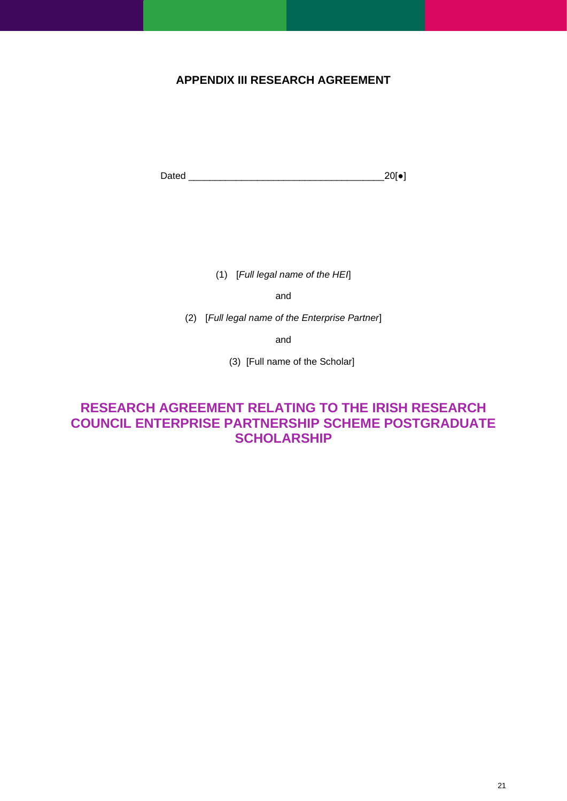## <span id="page-20-0"></span>**APPENDIX III RESEARCH AGREEMENT**

Dated \_\_\_\_\_\_\_\_\_\_\_\_\_\_\_\_\_\_\_\_\_\_\_\_\_\_\_\_\_\_\_\_\_\_\_\_\_20[●]

(1) [*Full legal name of the HEI*]

and

(2) [*Full legal name of the Enterprise Partner*]

and

(3) [Full name of the Scholar]

## **RESEARCH AGREEMENT RELATING TO THE IRISH RESEARCH COUNCIL ENTERPRISE PARTNERSHIP SCHEME POSTGRADUATE SCHOLARSHIP**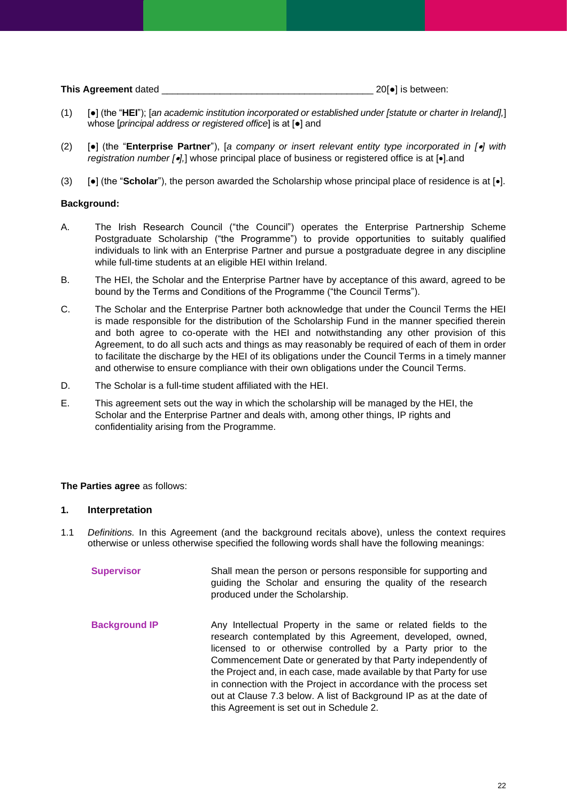| This Agreement dated |  |  | $20\bullet$ is between: |  |
|----------------------|--|--|-------------------------|--|
|----------------------|--|--|-------------------------|--|

- (1) [●] (the "**HEI**"); [*an academic institution incorporated or established under [statute or charter in Ireland],*] whose [*principal address or registered office*] is at [●] and
- (2) [●] (the "**Enterprise Partner**"), [*a company or insert relevant entity type incorporated in [*•*] with registration number [*•*],*] whose principal place of business or registered office is at [•].and
- (3) [●] (the "**Scholar**"), the person awarded the Scholarship whose principal place of residence is at [•].

#### **Background:**

- A. The Irish Research Council ("the Council") operates the Enterprise Partnership Scheme Postgraduate Scholarship ("the Programme") to provide opportunities to suitably qualified individuals to link with an Enterprise Partner and pursue a postgraduate degree in any discipline while full-time students at an eligible HEI within Ireland.
- B. The HEI, the Scholar and the Enterprise Partner have by acceptance of this award, agreed to be bound by the Terms and Conditions of the Programme ("the Council Terms").
- C. The Scholar and the Enterprise Partner both acknowledge that under the Council Terms the HEI is made responsible for the distribution of the Scholarship Fund in the manner specified therein and both agree to co-operate with the HEI and notwithstanding any other provision of this Agreement, to do all such acts and things as may reasonably be required of each of them in order to facilitate the discharge by the HEI of its obligations under the Council Terms in a timely manner and otherwise to ensure compliance with their own obligations under the Council Terms.
- D. The Scholar is a full-time student affiliated with the HEI.
- E. This agreement sets out the way in which the scholarship will be managed by the HEI, the Scholar and the Enterprise Partner and deals with, among other things, IP rights and confidentiality arising from the Programme.

#### **The Parties agree** as follows:

#### **1. Interpretation**

1.1 *Definitions.* In this Agreement (and the background recitals above), unless the context requires otherwise or unless otherwise specified the following words shall have the following meanings:

| <b>Supervisor</b>    | Shall mean the person or persons responsible for supporting and<br>guiding the Scholar and ensuring the quality of the research<br>produced under the Scholarship. |
|----------------------|--------------------------------------------------------------------------------------------------------------------------------------------------------------------|
| <b>Background IP</b> | Any Intellectual Property in the same or related fields to the<br>research contemplated by this Agreement, developed, owned,                                       |

research contemplated by this Agreement, developed, owned, licensed to or otherwise controlled by a Party prior to the Commencement Date or generated by that Party independently of the Project and, in each case, made available by that Party for use in connection with the Project in accordance with the process set out at Clause 7.3 below. A list of Background IP as at the date of this Agreement is set out in Schedule 2.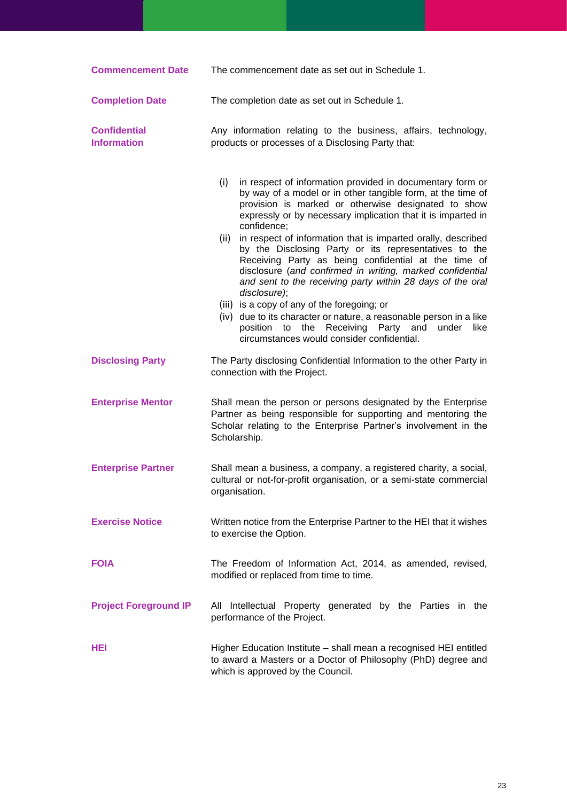| <b>Commencement Date</b>                  | The commencement date as set out in Schedule 1.                                                                                                                                                                                                                                                                                                                                                                                                                                                                                                                                                                                                                                                                                                                                                                                      |  |
|-------------------------------------------|--------------------------------------------------------------------------------------------------------------------------------------------------------------------------------------------------------------------------------------------------------------------------------------------------------------------------------------------------------------------------------------------------------------------------------------------------------------------------------------------------------------------------------------------------------------------------------------------------------------------------------------------------------------------------------------------------------------------------------------------------------------------------------------------------------------------------------------|--|
| <b>Completion Date</b>                    | The completion date as set out in Schedule 1.                                                                                                                                                                                                                                                                                                                                                                                                                                                                                                                                                                                                                                                                                                                                                                                        |  |
| <b>Confidential</b><br><b>Information</b> | Any information relating to the business, affairs, technology,<br>products or processes of a Disclosing Party that:                                                                                                                                                                                                                                                                                                                                                                                                                                                                                                                                                                                                                                                                                                                  |  |
|                                           | in respect of information provided in documentary form or<br>(i)<br>by way of a model or in other tangible form, at the time of<br>provision is marked or otherwise designated to show<br>expressly or by necessary implication that it is imparted in<br>confidence;<br>in respect of information that is imparted orally, described<br>(ii)<br>by the Disclosing Party or its representatives to the<br>Receiving Party as being confidential at the time of<br>disclosure (and confirmed in writing, marked confidential<br>and sent to the receiving party within 28 days of the oral<br>disclosure);<br>(iii) is a copy of any of the foregoing; or<br>(iv) due to its character or nature, a reasonable person in a like<br>position to the Receiving Party and<br>under<br>like<br>circumstances would consider confidential. |  |
| <b>Disclosing Party</b>                   | The Party disclosing Confidential Information to the other Party in<br>connection with the Project.                                                                                                                                                                                                                                                                                                                                                                                                                                                                                                                                                                                                                                                                                                                                  |  |
| <b>Enterprise Mentor</b>                  | Shall mean the person or persons designated by the Enterprise<br>Partner as being responsible for supporting and mentoring the<br>Scholar relating to the Enterprise Partner's involvement in the<br>Scholarship.                                                                                                                                                                                                                                                                                                                                                                                                                                                                                                                                                                                                                    |  |
| <b>Enterprise Partner</b>                 | Shall mean a business, a company, a registered charity, a social,<br>cultural or not-for-profit organisation, or a semi-state commercial<br>organisation.                                                                                                                                                                                                                                                                                                                                                                                                                                                                                                                                                                                                                                                                            |  |
| <b>Exercise Notice</b>                    | Written notice from the Enterprise Partner to the HEI that it wishes<br>to exercise the Option.                                                                                                                                                                                                                                                                                                                                                                                                                                                                                                                                                                                                                                                                                                                                      |  |
| <b>FOIA</b>                               | The Freedom of Information Act, 2014, as amended, revised,<br>modified or replaced from time to time.                                                                                                                                                                                                                                                                                                                                                                                                                                                                                                                                                                                                                                                                                                                                |  |
| <b>Project Foreground IP</b>              | All Intellectual Property generated by the Parties in the<br>performance of the Project.                                                                                                                                                                                                                                                                                                                                                                                                                                                                                                                                                                                                                                                                                                                                             |  |
| HEI                                       | Higher Education Institute - shall mean a recognised HEI entitled<br>to award a Masters or a Doctor of Philosophy (PhD) degree and<br>which is approved by the Council.                                                                                                                                                                                                                                                                                                                                                                                                                                                                                                                                                                                                                                                              |  |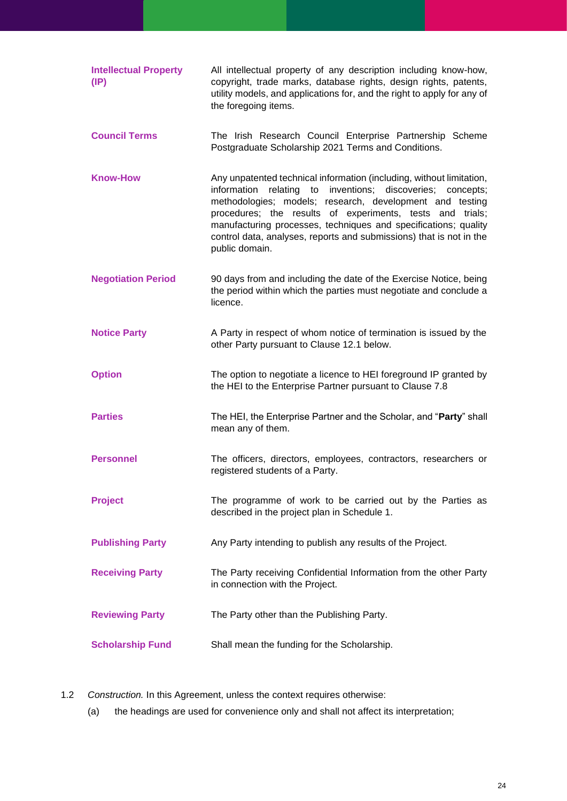| <b>Intellectual Property</b><br>$(\mathsf{IP})$ | All intellectual property of any description including know-how,<br>copyright, trade marks, database rights, design rights, patents,<br>utility models, and applications for, and the right to apply for any of<br>the foregoing items.                                                                                                                                                                                             |
|-------------------------------------------------|-------------------------------------------------------------------------------------------------------------------------------------------------------------------------------------------------------------------------------------------------------------------------------------------------------------------------------------------------------------------------------------------------------------------------------------|
| <b>Council Terms</b>                            | The Irish Research Council Enterprise Partnership Scheme<br>Postgraduate Scholarship 2021 Terms and Conditions.                                                                                                                                                                                                                                                                                                                     |
| <b>Know-How</b>                                 | Any unpatented technical information (including, without limitation,<br>inventions; discoveries;<br>information<br>relating<br>to<br>concepts;<br>methodologies; models; research, development and testing<br>procedures; the results of experiments, tests and trials;<br>manufacturing processes, techniques and specifications; quality<br>control data, analyses, reports and submissions) that is not in the<br>public domain. |
| <b>Negotiation Period</b>                       | 90 days from and including the date of the Exercise Notice, being<br>the period within which the parties must negotiate and conclude a<br>licence.                                                                                                                                                                                                                                                                                  |
| <b>Notice Party</b>                             | A Party in respect of whom notice of termination is issued by the<br>other Party pursuant to Clause 12.1 below.                                                                                                                                                                                                                                                                                                                     |
| <b>Option</b>                                   | The option to negotiate a licence to HEI foreground IP granted by<br>the HEI to the Enterprise Partner pursuant to Clause 7.8                                                                                                                                                                                                                                                                                                       |
| <b>Parties</b>                                  | The HEI, the Enterprise Partner and the Scholar, and "Party" shall<br>mean any of them.                                                                                                                                                                                                                                                                                                                                             |
| <b>Personnel</b>                                | The officers, directors, employees, contractors, researchers or<br>registered students of a Party.                                                                                                                                                                                                                                                                                                                                  |
| <b>Project</b>                                  | The programme of work to be carried out by the Parties as<br>described in the project plan in Schedule 1.                                                                                                                                                                                                                                                                                                                           |
| <b>Publishing Party</b>                         | Any Party intending to publish any results of the Project.                                                                                                                                                                                                                                                                                                                                                                          |
| <b>Receiving Party</b>                          | The Party receiving Confidential Information from the other Party<br>in connection with the Project.                                                                                                                                                                                                                                                                                                                                |
| <b>Reviewing Party</b>                          | The Party other than the Publishing Party.                                                                                                                                                                                                                                                                                                                                                                                          |
| <b>Scholarship Fund</b>                         | Shall mean the funding for the Scholarship.                                                                                                                                                                                                                                                                                                                                                                                         |

1.2 *Construction.* In this Agreement, unless the context requires otherwise:

(a) the headings are used for convenience only and shall not affect its interpretation;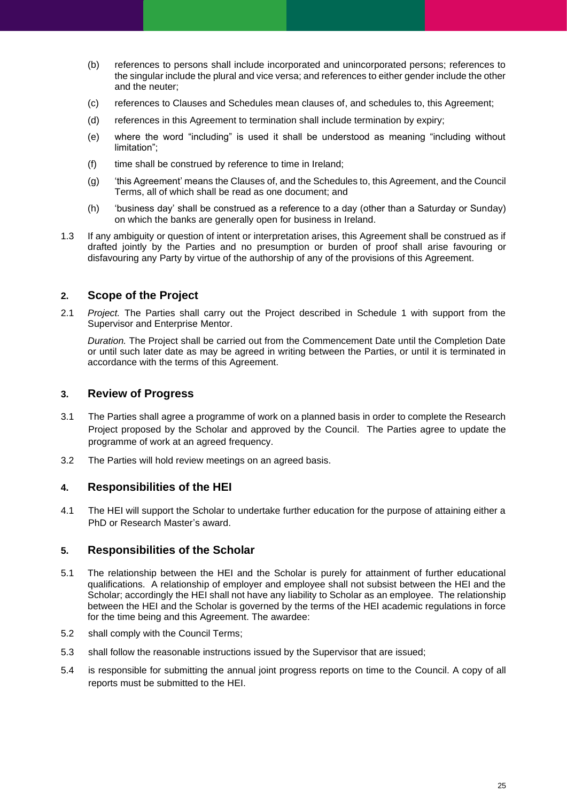- (b) references to persons shall include incorporated and unincorporated persons; references to the singular include the plural and vice versa; and references to either gender include the other and the neuter;
- (c) references to Clauses and Schedules mean clauses of, and schedules to, this Agreement;
- (d) references in this Agreement to termination shall include termination by expiry;
- (e) where the word "including" is used it shall be understood as meaning "including without limitation";
- (f) time shall be construed by reference to time in Ireland;
- (g) 'this Agreement' means the Clauses of, and the Schedules to, this Agreement, and the Council Terms, all of which shall be read as one document; and
- (h) 'business day' shall be construed as a reference to a day (other than a Saturday or Sunday) on which the banks are generally open for business in Ireland.
- 1.3 If any ambiguity or question of intent or interpretation arises, this Agreement shall be construed as if drafted jointly by the Parties and no presumption or burden of proof shall arise favouring or disfavouring any Party by virtue of the authorship of any of the provisions of this Agreement.

## **2. Scope of the Project**

2.1 *Project.* The Parties shall carry out the Project described in Schedule 1 with support from the Supervisor and Enterprise Mentor.

*Duration.* The Project shall be carried out from the Commencement Date until the Completion Date or until such later date as may be agreed in writing between the Parties, or until it is terminated in accordance with the terms of this Agreement.

## **3. Review of Progress**

- 3.1 The Parties shall agree a programme of work on a planned basis in order to complete the Research Project proposed by the Scholar and approved by the Council. The Parties agree to update the programme of work at an agreed frequency.
- 3.2 The Parties will hold review meetings on an agreed basis.

## **4. Responsibilities of the HEI**

4.1 The HEI will support the Scholar to undertake further education for the purpose of attaining either a PhD or Research Master's award.

## **5. Responsibilities of the Scholar**

- 5.1 The relationship between the HEI and the Scholar is purely for attainment of further educational qualifications. A relationship of employer and employee shall not subsist between the HEI and the Scholar; accordingly the HEI shall not have any liability to Scholar as an employee. The relationship between the HEI and the Scholar is governed by the terms of the HEI academic regulations in force for the time being and this Agreement. The awardee:
- 5.2 shall comply with the Council Terms;
- 5.3 shall follow the reasonable instructions issued by the Supervisor that are issued;
- 5.4 is responsible for submitting the annual joint progress reports on time to the Council. A copy of all reports must be submitted to the HEI.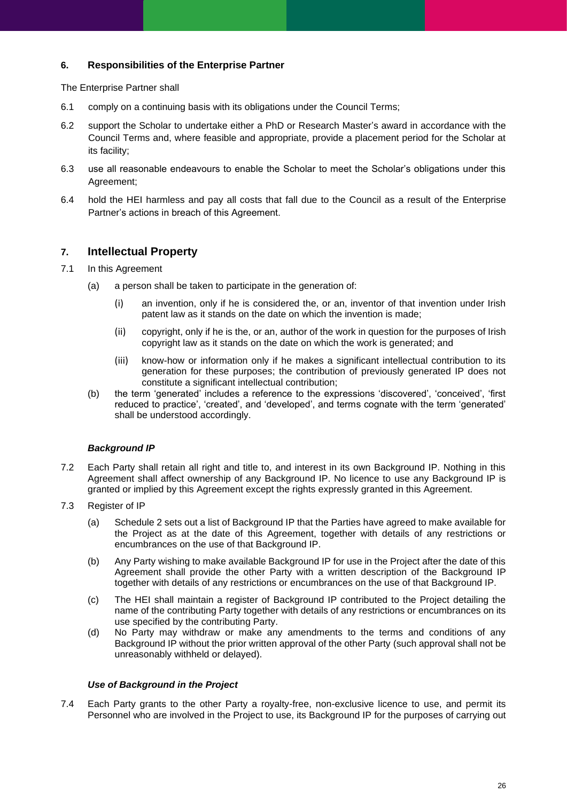#### **6. Responsibilities of the Enterprise Partner**

The Enterprise Partner shall

- 6.1 comply on a continuing basis with its obligations under the Council Terms;
- 6.2 support the Scholar to undertake either a PhD or Research Master's award in accordance with the Council Terms and, where feasible and appropriate, provide a placement period for the Scholar at its facility;
- 6.3 use all reasonable endeavours to enable the Scholar to meet the Scholar's obligations under this Agreement;
- 6.4 hold the HEI harmless and pay all costs that fall due to the Council as a result of the Enterprise Partner's actions in breach of this Agreement.

## **7. Intellectual Property**

- 7.1 In this Agreement
	- (a) a person shall be taken to participate in the generation of:
		- (i) an invention, only if he is considered the, or an, inventor of that invention under Irish patent law as it stands on the date on which the invention is made;
		- (ii) copyright, only if he is the, or an, author of the work in question for the purposes of Irish copyright law as it stands on the date on which the work is generated; and
		- (iii) know-how or information only if he makes a significant intellectual contribution to its generation for these purposes; the contribution of previously generated IP does not constitute a significant intellectual contribution;
	- (b) the term 'generated' includes a reference to the expressions 'discovered', 'conceived', 'first reduced to practice', 'created', and 'developed', and terms cognate with the term 'generated' shall be understood accordingly.

#### *Background IP*

- 7.2 Each Party shall retain all right and title to, and interest in its own Background IP. Nothing in this Agreement shall affect ownership of any Background IP. No licence to use any Background IP is granted or implied by this Agreement except the rights expressly granted in this Agreement.
- 7.3 Register of IP
	- (a) Schedule 2 sets out a list of Background IP that the Parties have agreed to make available for the Project as at the date of this Agreement, together with details of any restrictions or encumbrances on the use of that Background IP.
	- (b) Any Party wishing to make available Background IP for use in the Project after the date of this Agreement shall provide the other Party with a written description of the Background IP together with details of any restrictions or encumbrances on the use of that Background IP.
	- (c) The HEI shall maintain a register of Background IP contributed to the Project detailing the name of the contributing Party together with details of any restrictions or encumbrances on its use specified by the contributing Party.
	- (d) No Party may withdraw or make any amendments to the terms and conditions of any Background IP without the prior written approval of the other Party (such approval shall not be unreasonably withheld or delayed).

#### *Use of Background in the Project*

7.4 Each Party grants to the other Party a royalty-free, non-exclusive licence to use, and permit its Personnel who are involved in the Project to use, its Background IP for the purposes of carrying out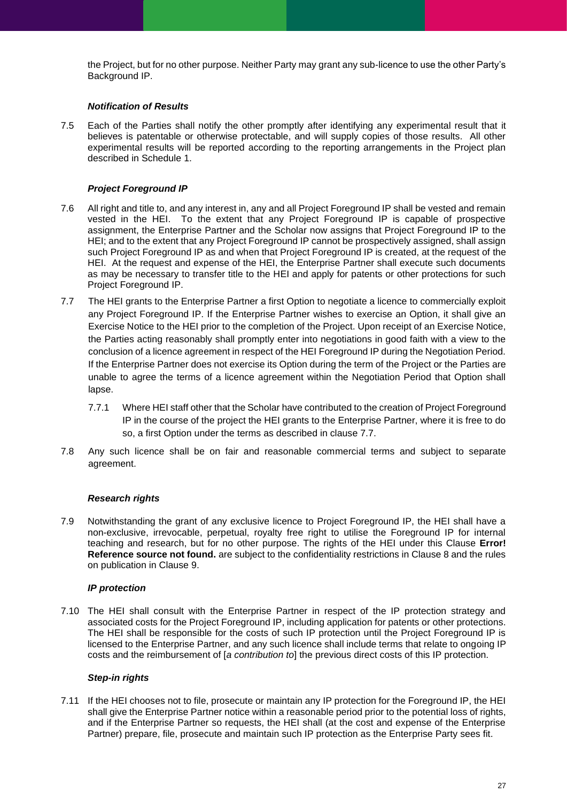the Project, but for no other purpose. Neither Party may grant any sub-licence to use the other Party's Background IP.

#### *Notification of Results*

7.5 Each of the Parties shall notify the other promptly after identifying any experimental result that it believes is patentable or otherwise protectable, and will supply copies of those results. All other experimental results will be reported according to the reporting arrangements in the Project plan described in Schedule 1.

#### *Project Foreground IP*

- 7.6 All right and title to, and any interest in, any and all Project Foreground IP shall be vested and remain vested in the HEI. To the extent that any Project Foreground IP is capable of prospective assignment, the Enterprise Partner and the Scholar now assigns that Project Foreground IP to the HEI; and to the extent that any Project Foreground IP cannot be prospectively assigned, shall assign such Project Foreground IP as and when that Project Foreground IP is created, at the request of the HEI. At the request and expense of the HEI, the Enterprise Partner shall execute such documents as may be necessary to transfer title to the HEI and apply for patents or other protections for such Project Foreground IP.
- 7.7 The HEI grants to the Enterprise Partner a first Option to negotiate a licence to commercially exploit any Project Foreground IP. If the Enterprise Partner wishes to exercise an Option, it shall give an Exercise Notice to the HEI prior to the completion of the Project. Upon receipt of an Exercise Notice, the Parties acting reasonably shall promptly enter into negotiations in good faith with a view to the conclusion of a licence agreement in respect of the HEI Foreground IP during the Negotiation Period. If the Enterprise Partner does not exercise its Option during the term of the Project or the Parties are unable to agree the terms of a licence agreement within the Negotiation Period that Option shall lapse.
	- 7.7.1 Where HEI staff other that the Scholar have contributed to the creation of Project Foreground IP in the course of the project the HEI grants to the Enterprise Partner, where it is free to do so, a first Option under the terms as described in clause 7.7.
- 7.8 Any such licence shall be on fair and reasonable commercial terms and subject to separate agreement.

#### *Research rights*

7.9 Notwithstanding the grant of any exclusive licence to Project Foreground IP, the HEI shall have a non-exclusive, irrevocable, perpetual, royalty free right to utilise the Foreground IP for internal teaching and research, but for no other purpose. The rights of the HEI under this Clause **Error! Reference source not found.** are subject to the confidentiality restrictions in Clause 8 and the rules on publication in Clause 9.

#### *IP protection*

7.10 The HEI shall consult with the Enterprise Partner in respect of the IP protection strategy and associated costs for the Project Foreground IP, including application for patents or other protections. The HEI shall be responsible for the costs of such IP protection until the Project Foreground IP is licensed to the Enterprise Partner, and any such licence shall include terms that relate to ongoing IP costs and the reimbursement of [*a contribution to*] the previous direct costs of this IP protection.

#### *Step-in rights*

7.11 If the HEI chooses not to file, prosecute or maintain any IP protection for the Foreground IP, the HEI shall give the Enterprise Partner notice within a reasonable period prior to the potential loss of rights, and if the Enterprise Partner so requests, the HEI shall (at the cost and expense of the Enterprise Partner) prepare, file, prosecute and maintain such IP protection as the Enterprise Party sees fit.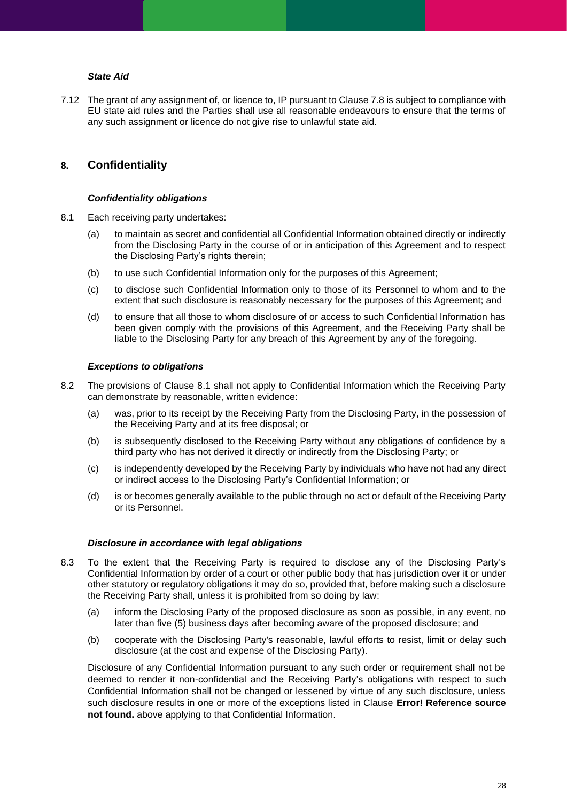#### *State Aid*

7.12 The grant of any assignment of, or licence to, IP pursuant to Clause 7.8 is subject to compliance with EU state aid rules and the Parties shall use all reasonable endeavours to ensure that the terms of any such assignment or licence do not give rise to unlawful state aid.

### **8. Confidentiality**

#### *Confidentiality obligations*

- 8.1 Each receiving party undertakes:
	- (a) to maintain as secret and confidential all Confidential Information obtained directly or indirectly from the Disclosing Party in the course of or in anticipation of this Agreement and to respect the Disclosing Party's rights therein;
	- (b) to use such Confidential Information only for the purposes of this Agreement;
	- (c) to disclose such Confidential Information only to those of its Personnel to whom and to the extent that such disclosure is reasonably necessary for the purposes of this Agreement; and
	- (d) to ensure that all those to whom disclosure of or access to such Confidential Information has been given comply with the provisions of this Agreement, and the Receiving Party shall be liable to the Disclosing Party for any breach of this Agreement by any of the foregoing.

#### *Exceptions to obligations*

- 8.2 The provisions of Clause 8.1 shall not apply to Confidential Information which the Receiving Party can demonstrate by reasonable, written evidence:
	- (a) was, prior to its receipt by the Receiving Party from the Disclosing Party, in the possession of the Receiving Party and at its free disposal; or
	- (b) is subsequently disclosed to the Receiving Party without any obligations of confidence by a third party who has not derived it directly or indirectly from the Disclosing Party; or
	- (c) is independently developed by the Receiving Party by individuals who have not had any direct or indirect access to the Disclosing Party's Confidential Information; or
	- (d) is or becomes generally available to the public through no act or default of the Receiving Party or its Personnel.

#### *Disclosure in accordance with legal obligations*

- 8.3 To the extent that the Receiving Party is required to disclose any of the Disclosing Party's Confidential Information by order of a court or other public body that has jurisdiction over it or under other statutory or regulatory obligations it may do so, provided that, before making such a disclosure the Receiving Party shall, unless it is prohibited from so doing by law:
	- (a) inform the Disclosing Party of the proposed disclosure as soon as possible, in any event, no later than five (5) business days after becoming aware of the proposed disclosure; and
	- (b) cooperate with the Disclosing Party's reasonable, lawful efforts to resist, limit or delay such disclosure (at the cost and expense of the Disclosing Party).

Disclosure of any Confidential Information pursuant to any such order or requirement shall not be deemed to render it non-confidential and the Receiving Party's obligations with respect to such Confidential Information shall not be changed or lessened by virtue of any such disclosure, unless such disclosure results in one or more of the exceptions listed in Clause **Error! Reference source not found.** above applying to that Confidential Information.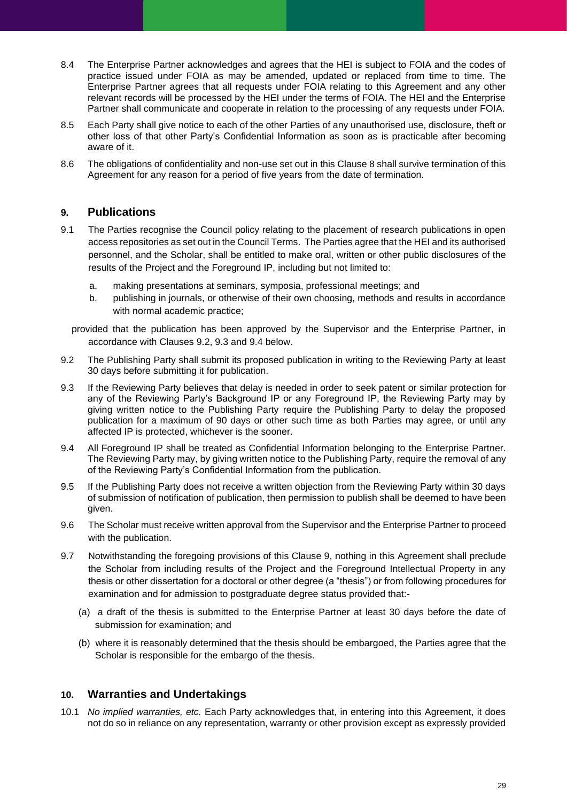- 8.4 The Enterprise Partner acknowledges and agrees that the HEI is subject to FOIA and the codes of practice issued under FOIA as may be amended, updated or replaced from time to time. The Enterprise Partner agrees that all requests under FOIA relating to this Agreement and any other relevant records will be processed by the HEI under the terms of FOIA. The HEI and the Enterprise Partner shall communicate and cooperate in relation to the processing of any requests under FOIA*.*
- 8.5 Each Party shall give notice to each of the other Parties of any unauthorised use, disclosure, theft or other loss of that other Party's Confidential Information as soon as is practicable after becoming aware of it.
- 8.6 The obligations of confidentiality and non-use set out in this Clause 8 shall survive termination of this Agreement for any reason for a period of five years from the date of termination.

## **9. Publications**

- 9.1 The Parties recognise the Council policy relating to the placement of research publications in open access repositories as set out in the Council Terms. The Parties agree that the HEI and its authorised personnel, and the Scholar, shall be entitled to make oral, written or other public disclosures of the results of the Project and the Foreground IP, including but not limited to:
	- a. making presentations at seminars, symposia, professional meetings; and
	- b. publishing in journals, or otherwise of their own choosing, methods and results in accordance with normal academic practice;

provided that the publication has been approved by the Supervisor and the Enterprise Partner, in accordance with Clauses 9.2, 9.3 and 9.4 below.

- 9.2 The Publishing Party shall submit its proposed publication in writing to the Reviewing Party at least 30 days before submitting it for publication.
- 9.3 If the Reviewing Party believes that delay is needed in order to seek patent or similar protection for any of the Reviewing Party's Background IP or any Foreground IP, the Reviewing Party may by giving written notice to the Publishing Party require the Publishing Party to delay the proposed publication for a maximum of 90 days or other such time as both Parties may agree, or until any affected IP is protected, whichever is the sooner.
- 9.4 All Foreground IP shall be treated as Confidential Information belonging to the Enterprise Partner. The Reviewing Party may, by giving written notice to the Publishing Party, require the removal of any of the Reviewing Party's Confidential Information from the publication.
- 9.5 If the Publishing Party does not receive a written objection from the Reviewing Party within 30 days of submission of notification of publication, then permission to publish shall be deemed to have been given.
- 9.6 The Scholar must receive written approval from the Supervisor and the Enterprise Partner to proceed with the publication.
- 9.7 Notwithstanding the foregoing provisions of this Clause 9, nothing in this Agreement shall preclude the Scholar from including results of the Project and the Foreground Intellectual Property in any thesis or other dissertation for a doctoral or other degree (a "thesis") or from following procedures for examination and for admission to postgraduate degree status provided that:-
	- (a) a draft of the thesis is submitted to the Enterprise Partner at least 30 days before the date of submission for examination; and
	- (b) where it is reasonably determined that the thesis should be embargoed, the Parties agree that the Scholar is responsible for the embargo of the thesis.

#### **10. Warranties and Undertakings**

10.1 *No implied warranties, etc.* Each Party acknowledges that, in entering into this Agreement, it does not do so in reliance on any representation, warranty or other provision except as expressly provided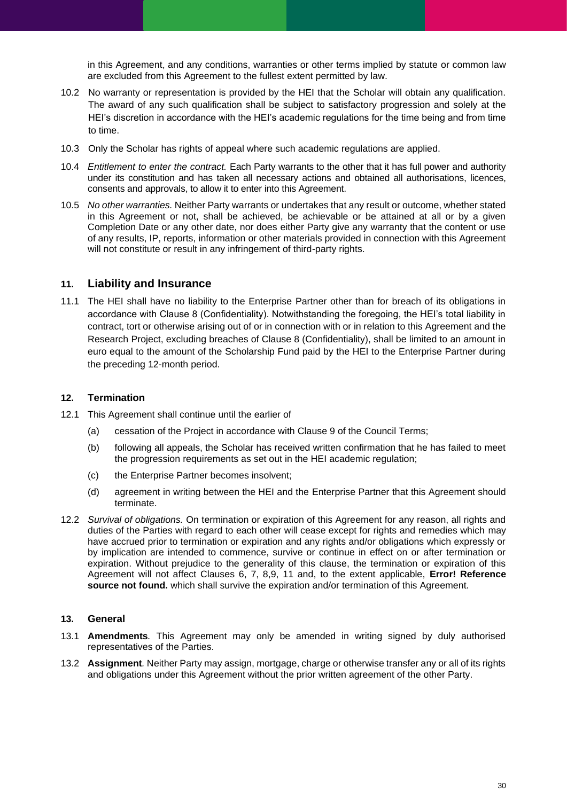in this Agreement, and any conditions, warranties or other terms implied by statute or common law are excluded from this Agreement to the fullest extent permitted by law.

- 10.2 No warranty or representation is provided by the HEI that the Scholar will obtain any qualification. The award of any such qualification shall be subject to satisfactory progression and solely at the HEI's discretion in accordance with the HEI's academic regulations for the time being and from time to time.
- 10.3 Only the Scholar has rights of appeal where such academic regulations are applied.
- 10.4 *Entitlement to enter the contract.* Each Party warrants to the other that it has full power and authority under its constitution and has taken all necessary actions and obtained all authorisations, licences, consents and approvals, to allow it to enter into this Agreement.
- 10.5 *No other warranties.* Neither Party warrants or undertakes that any result or outcome, whether stated in this Agreement or not, shall be achieved, be achievable or be attained at all or by a given Completion Date or any other date, nor does either Party give any warranty that the content or use of any results, IP, reports, information or other materials provided in connection with this Agreement will not constitute or result in any infringement of third-party rights.

### **11. Liability and Insurance**

11.1 The HEI shall have no liability to the Enterprise Partner other than for breach of its obligations in accordance with Clause 8 (Confidentiality). Notwithstanding the foregoing, the HEI's total liability in contract, tort or otherwise arising out of or in connection with or in relation to this Agreement and the Research Project, excluding breaches of Clause 8 (Confidentiality), shall be limited to an amount in euro equal to the amount of the Scholarship Fund paid by the HEI to the Enterprise Partner during the preceding 12-month period.

#### **12. Termination**

- 12.1 This Agreement shall continue until the earlier of
	- (a) cessation of the Project in accordance with Clause 9 of the Council Terms;
	- (b) following all appeals, the Scholar has received written confirmation that he has failed to meet the progression requirements as set out in the HEI academic regulation;
	- (c) the Enterprise Partner becomes insolvent;
	- (d) agreement in writing between the HEI and the Enterprise Partner that this Agreement should terminate.
- 12.2 *Survival of obligations.* On termination or expiration of this Agreement for any reason, all rights and duties of the Parties with regard to each other will cease except for rights and remedies which may have accrued prior to termination or expiration and any rights and/or obligations which expressly or by implication are intended to commence, survive or continue in effect on or after termination or expiration. Without prejudice to the generality of this clause, the termination or expiration of this Agreement will not affect Clauses 6, 7, 8,9, 11 and, to the extent applicable, **Error! Reference**  source not found. which shall survive the expiration and/or termination of this Agreement.

#### **13. General**

- 13.1 **Amendments***.* This Agreement may only be amended in writing signed by duly authorised representatives of the Parties.
- 13.2 **Assignment***.* Neither Party may assign, mortgage, charge or otherwise transfer any or all of its rights and obligations under this Agreement without the prior written agreement of the other Party.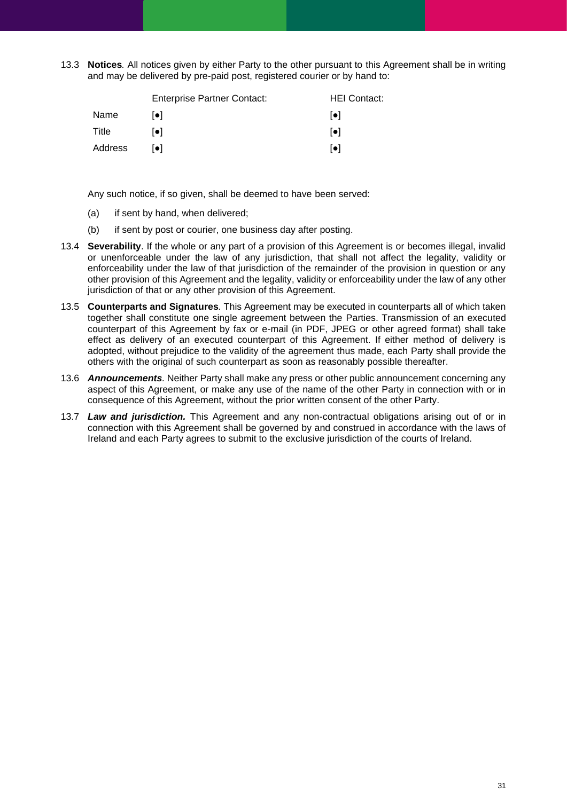13.3 **Notices***.* All notices given by either Party to the other pursuant to this Agreement shall be in writing and may be delivered by pre-paid post, registered courier or by hand to:

|         | <b>Enterprise Partner Contact:</b> | <b>HEI Contact:</b>     |
|---------|------------------------------------|-------------------------|
| Name    | $  \bullet  $                      | $  \bullet  $           |
| Title   | [•]                                | $\lceil \bullet \rceil$ |
| Address | $  \bullet  $                      | $\lceil \bullet \rceil$ |

Any such notice, if so given, shall be deemed to have been served:

- (a) if sent by hand, when delivered;
- (b) if sent by post or courier, one business day after posting.
- 13.4 **Severability**. If the whole or any part of a provision of this Agreement is or becomes illegal, invalid or unenforceable under the law of any jurisdiction, that shall not affect the legality, validity or enforceability under the law of that jurisdiction of the remainder of the provision in question or any other provision of this Agreement and the legality, validity or enforceability under the law of any other jurisdiction of that or any other provision of this Agreement.
- 13.5 **Counterparts and Signatures***.* This Agreement may be executed in counterparts all of which taken together shall constitute one single agreement between the Parties. Transmission of an executed counterpart of this Agreement by fax or e-mail (in PDF, JPEG or other agreed format) shall take effect as delivery of an executed counterpart of this Agreement. If either method of delivery is adopted, without prejudice to the validity of the agreement thus made, each Party shall provide the others with the original of such counterpart as soon as reasonably possible thereafter.
- 13.6 *Announcements.* Neither Party shall make any press or other public announcement concerning any aspect of this Agreement, or make any use of the name of the other Party in connection with or in consequence of this Agreement, without the prior written consent of the other Party.
- 13.7 *Law and jurisdiction.* This Agreement and any non-contractual obligations arising out of or in connection with this Agreement shall be governed by and construed in accordance with the laws of Ireland and each Party agrees to submit to the exclusive jurisdiction of the courts of Ireland.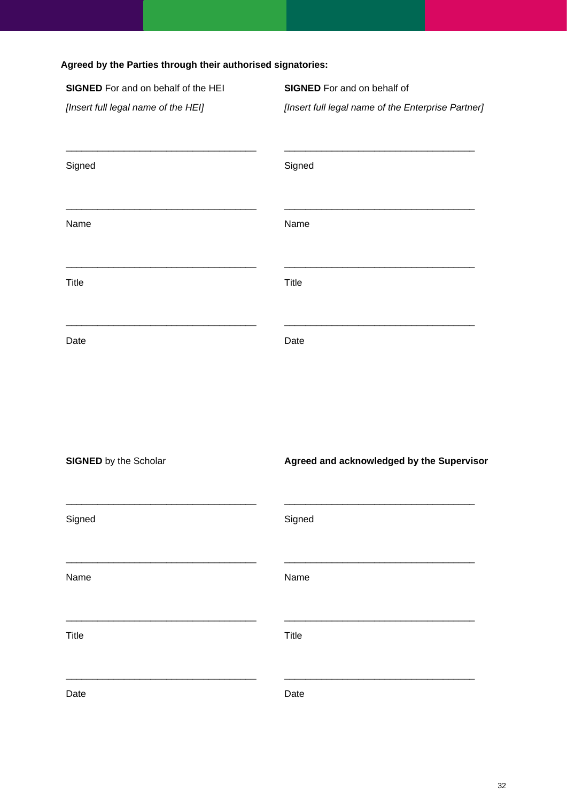| SIGNED For and on behalf of the HEI | <b>SIGNED</b> For and on behalf of                 |
|-------------------------------------|----------------------------------------------------|
| [Insert full legal name of the HEI] | [Insert full legal name of the Enterprise Partner] |
| Signed                              | Signed                                             |
| Name                                | Name                                               |
| Title                               | Title                                              |
| Date                                | Date                                               |
| <b>SIGNED</b> by the Scholar        | Agreed and acknowledged by the Supervisor          |
| Signed                              | Signed                                             |
| Name                                | Name                                               |
| <b>Title</b>                        | <b>Title</b>                                       |

Date

\_\_\_\_\_\_\_\_\_\_\_\_\_\_\_\_\_\_\_\_\_\_\_\_\_\_\_\_\_\_\_\_\_\_\_\_

Date

\_\_\_\_\_\_\_\_\_\_\_\_\_\_\_\_\_\_\_\_\_\_\_\_\_\_\_\_\_\_\_\_\_\_\_\_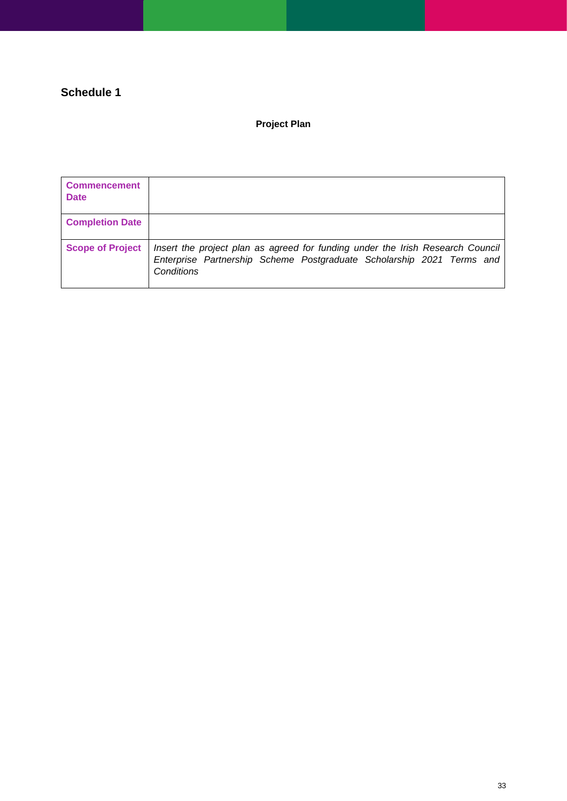## **Schedule 1**

## **Project Plan**

| <b>Commencement</b><br><b>Date</b> |                                                                                                                                                                       |
|------------------------------------|-----------------------------------------------------------------------------------------------------------------------------------------------------------------------|
| <b>Completion Date</b>             |                                                                                                                                                                       |
| <b>Scope of Project</b>            | Insert the project plan as agreed for funding under the Irish Research Council<br>Enterprise Partnership Scheme Postgraduate Scholarship 2021 Terms and<br>Conditions |